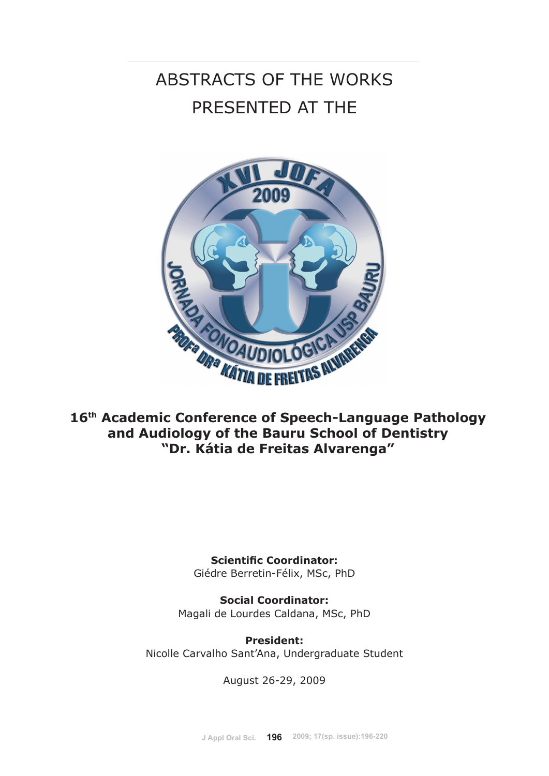# ABSTRACTS OF THE WORKS PRESENTED AT THE



**16th Academic Conference of Speech-Language Pathology and Audiology of the Bauru School of Dentistry "Dr. Kátia de Freitas Alvarenga"**

> **Scientific Coordinator:** Giédre Berretin-Félix, MSc, PhD

**Social Coordinator:**  Magali de Lourdes Caldana, MSc, PhD

**President:**  Nicolle Carvalho Sant'Ana, Undergraduate Student

August 26-29, 2009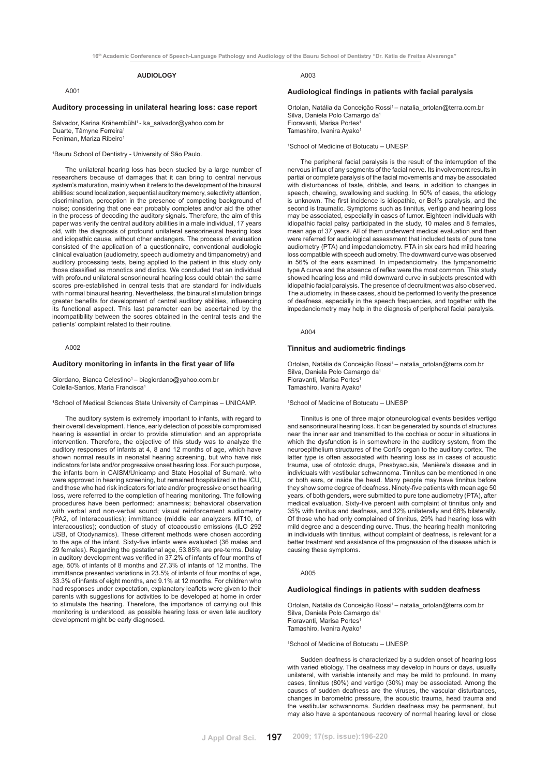**16th Academic Conference of Speech-Language Pathology and Audiology of the Bauru School of Dentistry "Dr. Kátia de Freitas Alvarenga"**

# **AUDIOLOGY**

# A001

# **Auditory processing in unilateral hearing loss: case report**

Salvador, Karina Krähembühl<sup>1</sup> - ka\_salvador@yahoo.com.br Duarte, Tâmyne Ferreira<sup>1</sup> Feniman, Mariza Ribeiro

1 Bauru School of Dentistry - University of São Paulo.

The unilateral hearing loss has been studied by a large number of researchers because of damages that it can bring to central nervous system's maturation, mainly when it refers to the development of the binaural abilities: sound localization, sequential auditory memory, selectivity attention, discrimination, perception in the presence of competing background of noise; considering that one ear probably completes and/or aid the other in the process of decoding the auditory signals. Therefore, the aim of this paper was verify the central auditory abilities in a male individual, 17 years old, with the diagnosis of profound unilateral sensorineural hearing loss and idiopathic cause, without other endangers. The process of evaluation consisted of the application of a questionnaire, conventional audiologic clinical evaluation (audiometry, speech audiometry and timpanometry) and auditory processing tests, being applied to the patient in this study only those classified as monotics and diotics. We concluded that an individual with profound unilateral sensorineural hearing loss could obtain the same scores pre-established in central tests that are standard for individuals with normal binaural hearing. Nevertheless, the binaural stimulation brings greater benefits for development of central auditory abilities, influencing its functional aspect. This last parameter can be ascertained by the incompatibility between the scores obtained in the central tests and the patients' complaint related to their routine.

## A002

#### **Auditory monitoring in infants in the first year of life**

Giordano, Bianca Celestino<sup>1</sup> – biagiordano@yahoo.com.br Colella-Santos, Maria Francisca1

<sup>1</sup>School of Medical Sciences State University of Campinas - UNICAMP.

The auditory system is extremely important to infants, with regard to their overall development. Hence, early detection of possible compromised hearing is essential in order to provide stimulation and an appropriate intervention. Therefore, the objective of this study was to analyze the auditory responses of infants at 4, 8 and 12 months of age, which have shown normal results in neonatal hearing screening, but who have risk indicators for late and/or progressive onset hearing loss. For such purpose, the infants born in CAISM/Unicamp and State Hospital of Sumaré, who were approved in hearing screening, but remained hospitalized in the ICU, and those who had risk indicators for late and/or progressive onset hearing loss, were referred to the completion of hearing monitoring. The following procedures have been performed: anamnesis; behavioral observation with verbal and non-verbal sound; visual reinforcement audiometry (PA2, of Interacoustics); immittance (middle ear analyzers MT10, of Interacoustics); conduction of study of otoacoustic emissions (ILO 292 USB, of Otodynamics). These different methods were chosen according to the age of the infant. Sixty-five infants were evaluated (36 males and 29 females). Regarding the gestational age, 53.85% are pre-terms. Delay in auditory development was verified in 37.2% of infants of four months of age, 50% of infants of 8 months and 27.3% of infants of 12 months. The immittance presented variations in 23.5% of infants of four months of age, 33.3% of infants of eight months, and 9.1% at 12 months. For children who had responses under expectation, explanatory leaflets were given to their parents with suggestions for activities to be developed at home in order to stimulate the hearing. Therefore, the importance of carrying out this monitoring is understood, as possible hearing loss or even late auditory development might be early diagnosed.

A003

# **Audiological findings in patients with facial paralysis**

Ortolan, Natália da Conceição Rossi<sup>1</sup> - natalia\_ortolan@terra.com.br Silva, Daniela Polo Camargo da<sup>1</sup> Fioravanti, Marisa Portes1 Tamashiro, Ivanira Ayako<sup>1</sup>

#### 1 School of Medicine of Botucatu – UNESP.

The peripheral facial paralysis is the result of the interruption of the nervous influx of any segments of the facial nerve. Its involvement results in partial or complete paralysis of the facial movements and may be associated with disturbances of taste, dribble, and tears, in addition to changes in speech, chewing, swallowing and sucking. In 50% of cases, the etiology is unknown. The first incidence is idiopathic, or Bell's paralysis, and the second is traumatic. Symptoms such as tinnitus, vertigo and hearing loss may be associated, especially in cases of tumor. Eighteen individuals with idiopathic facial palsy participated in the study, 10 males and 8 females, mean age of 37 years. All of them underwent medical evaluation and then were referred for audiological assessment that included tests of pure tone audiometry (PTA) and impedanciometry. PTA in six ears had mild hearing loss compatible with speech audiometry. The downward curve was observed in 56% of the ears examined. In impedanciometry, the tympanometric type A curve and the absence of reflex were the most common. This study showed hearing loss and mild downward curve in subjects presented with idiopathic facial paralysis. The presence of decruitment was also observed. The audiometry, in these cases, should be performed to verify the presence of deafness, especially in the speech frequencies, and together with the impedanciometry may help in the diagnosis of peripheral facial paralysis.

 $A004$ 

# **Tinnitus and audiometric findings**

Ortolan, Natália da Conceição Rossi<sup>1</sup> - natalia\_ortolan@terra.com.br Silva, Daniela Polo Camargo da1 Fioravanti, Marisa Portes<sup>1</sup> Tamashiro, Ivanira Ayako<sup>1</sup>

1 School of Medicine of Botucatu – UNESP

Tinnitus is one of three major otoneurological events besides vertigo and sensorineural hearing loss. It can be generated by sounds of structures near the inner ear and transmitted to the cochlea or occur in situations in which the dysfunction is in somewhere in the auditory system, from the neuroepithelium structures of the Corti's organ to the auditory cortex. The latter type is often associated with hearing loss as in cases of acoustic trauma, use of ototoxic drugs, Presbyacusis, Menière's disease and in individuals with vestibular schwannoma. Tinnitus can be mentioned in one or both ears, or inside the head. Many people may have tinnitus before they show some degree of deafness. Ninety-five patients with mean age 50 years, of both genders, were submitted to pure tone audiometry (PTA), after medical evaluation. Sixty-five percent with complaint of tinnitus only and 35% with tinnitus and deafness, and 32% unilaterally and 68% bilaterally. Of those who had only complained of tinnitus, 29% had hearing loss with mild degree and a descending curve. Thus, the hearing health monitoring in individuals with tinnitus, without complaint of deafness, is relevant for a better treatment and assistance of the progression of the disease which is causing these symptoms.

#### A005

# **Audiological findings in patients with sudden deafness**

Ortolan, Natália da Conceição Rossi<sup>1</sup> – natalia\_ortolan@terra.com.br Silva, Daniela Polo Camargo da1 Fioravanti, Marisa Portes<sup>1</sup> Tamashiro, Ivanira Ayako<sup>1</sup>

1 School of Medicine of Botucatu – UNESP.

Sudden deafness is characterized by a sudden onset of hearing loss with varied etiology. The deafness may develop in hours or days, usually unilateral, with variable intensity and may be mild to profound. In many cases, tinnitus (80%) and vertigo (30%) may be associated. Among the causes of sudden deafness are the viruses, the vascular disturbances, changes in barometric pressure, the acoustic trauma, head trauma and the vestibular schwannoma. Sudden deafness may be permanent, but may also have a spontaneous recovery of normal hearing level or close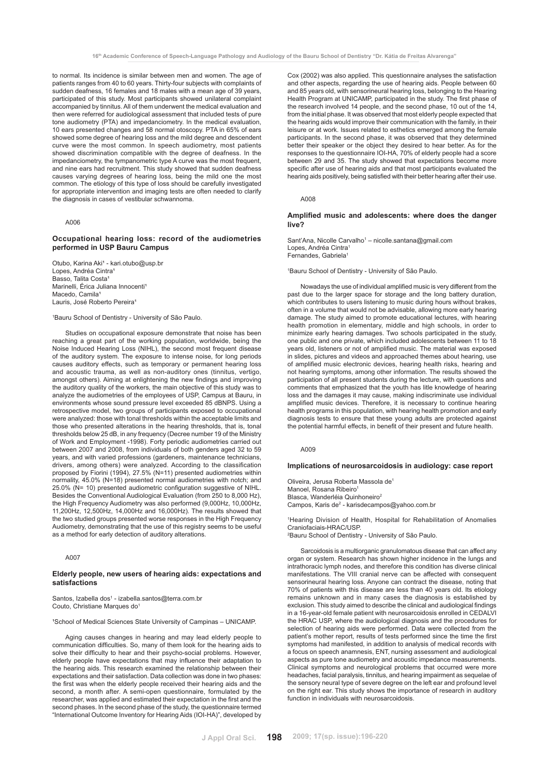to normal. Its incidence is similar between men and women. The age of patients ranges from 40 to 60 years. Thirty-four subjects with complaints of sudden deafness, 16 females and 18 males with a mean age of 39 years, participated of this study. Most participants showed unilateral complaint accompanied by tinnitus. All of them underwent the medical evaluation and then were referred for audiological assessment that included tests of pure tone audiometry (PTA) and impedanciometry. In the medical evaluation, 10 ears presented changes and 58 normal otoscopy. PTA in 65% of ears showed some degree of hearing loss and the mild degree and descendent curve were the most common. In speech audiometry, most patients showed discrimination compatible with the degree of deafness. In the impedanciometry, the tympanometric type A curve was the most frequent, and nine ears had recruitment. This study showed that sudden deafness causes varying degrees of hearing loss, being the mild one the most common. The etiology of this type of loss should be carefully investigated for appropriate intervention and imaging tests are often needed to clarify the diagnosis in cases of vestibular schwannoma.

#### A006

# **Occupational hearing loss: record of the audiometries performed in USP Bauru Campus**

Otubo, Karina Aki<sup>1</sup> - kari.otubo@usp.br Lopes, Andréa Cintra<sup>1</sup> Basso, Talita Costa<sup>1</sup> Marinelli, Érica Juliana Innocenti<sup>1</sup> Macedo, Camila<sup>1</sup> Lauris, José Roberto Pereira<sup>1</sup>

1 Bauru School of Dentistry - University of São Paulo.

Studies on occupational exposure demonstrate that noise has been reaching a great part of the working population, worldwide, being the Noise Induced Hearing Loss (NIHL), the second most frequent disease of the auditory system. The exposure to intense noise, for long periods causes auditory effects, such as temporary or permanent hearing loss and acoustic trauma, as well as non-auditory ones (tinnitus, vertigo, amongst others). Aiming at enlightening the new findings and improving the auditory quality of the workers, the main objective of this study was to analyze the audiometries of the employees of USP, Campus at Bauru, in environments whose sound pressure level exceeded 85 dBNPS. Using a retrospective model, two groups of participants exposed to occupational were analyzed: those with tonal thresholds within the acceptable limits and those who presented alterations in the hearing thresholds, that is, tonal thresholds below 25 dB, in any frequency (Decree number 19 of the Ministry of Work and Employment -1998). Forty periodic audiometries carried out between 2007 and 2008, from individuals of both genders aged 32 to 59 years, and with varied professions (gardeners, maintenance technicians, drivers, among others) were analyzed. According to the classification proposed by Fiorini (1994), 27.5% (N=11) presented audiometries within normality, 45.0% (N=18) presented normal audiometries with notch; and 25.0% (N= 10) presented audiometric configuration suggestive of NIHL. Besides the Conventional Audiological Evaluation (from 250 to 8,000 Hz), the High Frequency Audiometry was also performed (9,000Hz, 10,000Hz, 11,200Hz, 12,500Hz, 14,000Hz and 16,000Hz). The results showed that the two studied groups presented worse responses in the High Frequency Audiometry, demonstrating that the use of this registry seems to be useful as a method for early detection of auditory alterations.

A007

# **Elderly people, new users of hearing aids: expectations and satisfactions**

#### Santos, Izabella dos<sup>1</sup> - izabella.santos@terra.com.br Couto, Christiane Marques do<sup>1</sup>

<sup>1</sup>School of Medical Sciences State University of Campinas - UNICAMP.

Aging causes changes in hearing and may lead elderly people to communication difficulties. So, many of them look for the hearing aids to solve their difficulty to hear and their psycho-social problems. However, elderly people have expectations that may influence their adaptation to the hearing aids. This research examined the relationship between their expectations and their satisfaction. Data collection was done in two phases: the first was when the elderly people received their hearing aids and the second, a month after. A semi-open questionnaire, formulated by the researcher, was applied and estimated their expectation in the first and the second phases. In the second phase of the study, the questionnaire termed "International Outcome Inventory for Hearing Aids (IOI-HA)", developed by

Cox (2002) was also applied. This questionnaire analyses the satisfaction and other aspects, regarding the use of hearing aids. People between 60 and 85 years old, with sensorineural hearing loss, belonging to the Hearing Health Program at UNICAMP, participated in the study. The first phase of the research involved 14 people, and the second phase, 10 out of the 14, from the initial phase. It was observed that most elderly people expected that the hearing aids would improve their communication with the family, in their leisure or at work. Issues related to esthetics emerged among the female participants. In the second phase, it was observed that they determined better their speaker or the object they desired to hear better. As for the responses to the questionnaire IOI-HA, 70% of elderly people had a score between 29 and 35. The study showed that expectations become more specific after use of hearing aids and that most participants evaluated the hearing aids positively, being satisfied with their better hearing after their use.

A008

# **Amplified music and adolescents: where does the danger live?**

Sant'Ana, Nicolle Carvalho<sup>1</sup> – nicolle.santana@gmail.com Lopes, Andréa Cintra<sup>1</sup> Fernandes, Gabriela<sup>1</sup>

1 Bauru School of Dentistry - University of São Paulo.

Nowadays the use of individual amplified music is very different from the past due to the larger space for storage and the long battery duration, which contributes to users listening to music during hours without brakes, often in a volume that would not be advisable, allowing more early hearing damage. The study aimed to promote educational lectures, with hearing health promotion in elementary, middle and high schools, in order to minimize early hearing damages. Two schools participated in the study, one public and one private, which included adolescents between 11 to 18 years old, listeners or not of amplified music. The material was exposed in slides, pictures and videos and approached themes about hearing, use of amplified music electronic devices, hearing health risks, hearing and not hearing symptoms, among other information. The results showed the participation of all present students during the lecture, with questions and comments that emphasized that the youth has litle knowledge of hearing loss and the damages it may cause, making indiscriminate use individual amplified music devices. Therefore, it is necessary to continue hearing health programs in this population, with hearing health promotion and early diagnosis tests to ensure that these young adults are protected against the potential harmful effects, in benefit of their present and future health.

A009

#### **Implications of neurosarcoidosis in audiology: case report**

Oliveira, Jerusa Roberta Massola de1 Manoel, Rosana Ribeiro<sup>1</sup> Blasca, Wanderléia Quinhoneiro<sup>2</sup> Campos, Karis de<sup>2</sup> - karisdecampos@yahoo.com.br

1Hearing Division of Health, Hospital for Rehabilitation of Anomalies Craniofaciais-HRAC/USP.

2 Bauru School of Dentistry - University of São Paulo.

Sarcoidosis is a multiorganic granulomatous disease that can affect any organ or system. Research has shown higher incidence in the lungs and intrathoracic lymph nodes, and therefore this condition has diverse clinical manifestations. The VIII cranial nerve can be affected with consequent sensorineural hearing loss. Anyone can contract the disease, noting that 70% of patients with this disease are less than 40 years old. Its etiology remains unknown and in many cases the diagnosis is established by exclusion. This study aimed to describe the clinical and audiological findings in a 16-year-old female patient with neurosarcoidosis enrolled in CEDALVI the HRAC USP, where the audiological diagnosis and the procedures for selection of hearing aids were performed. Data were collected from the patient's mother report, results of tests performed since the time the first symptoms had manifested, in addition to analysis of medical records with a focus on speech anamnesis, ENT, nursing assessment and audiological aspects as pure tone audiometry and acoustic impedance measurements. Clinical symptoms and neurological problems that occurred were more headaches, facial paralysis, tinnitus, and hearing impairment as sequelae of the sensory neural type of severe degree on the left ear and profound level on the right ear. This study shows the importance of research in auditory function in individuals with neurosarcoidosis.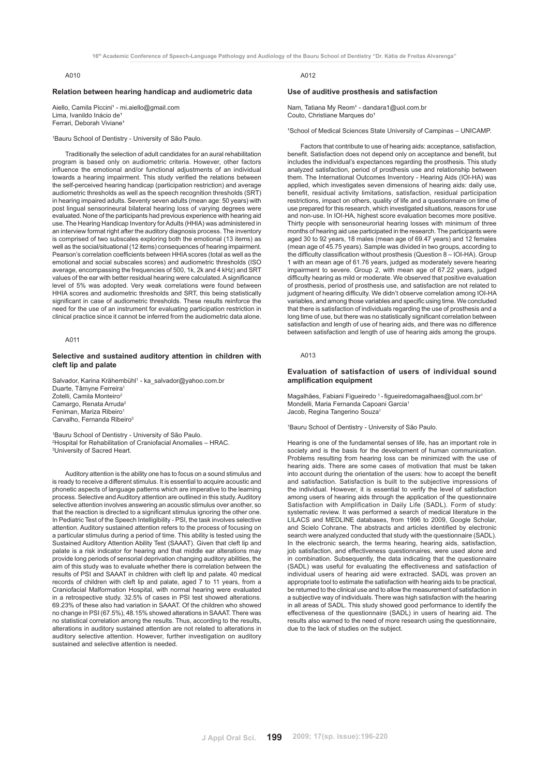# A010

#### **Relation between hearing handicap and audiometric data**

Aiello, Camila Piccini<sup>1</sup> - mi.aiello@gmail.com Lima, Ivanildo Inácio de<sup>1</sup> Ferrari, Deborah Viviane

1 Bauru School of Dentistry - University of São Paulo.

Traditionally the selection of adult candidates for an aural rehabilitation program is based only on audiometric criteria. However, other factors influence the emotional and/or functional adjustments of an individual towards a hearing impairment. This study verified the relations between the self-perceived hearing handicap (participation restriction) and average audiometric thresholds as well as the speech recognition thresholds (SRT) in hearing impaired adults. Seventy seven adults (mean age: 50 years) with post lingual sensorineural bilateral hearing loss of varying degrees were evaluated. None of the participants had previous experience with hearing aid use. The Hearing Handicap Inventory for Adults (HHIA) was administered in an interview format right after the auditory diagnosis process. The inventory is comprised of two subscales exploring both the emotional (13 items) as well as the social/situational (12 items) consequences of hearing impairment. Pearson's correlation coefficients between HHIA scores (total as well as the emotional and social subscales scores) and audiometric thresholds (ISO average, encompassing the frequencies of 500, 1k, 2k and 4 kHz) and SRT values of the ear with better residual hearing were calculated. A significance level of 5% was adopted. Very weak correlations were found between HHIA scores and audiometric thresholds and SRT, this being statistically significant in case of audiometric thresholds. These results reinforce the need for the use of an instrument for evaluating participation restriction in clinical practice since it cannot be inferred from the audiometric data alone.

# A011

# **Selective and sustained auditory attention in children with cleft lip and palate**

Salvador, Karina Krähembühl<sup>1</sup> - ka\_salvador@yahoo.com.br Duarte, Tâmyne Ferreira1 Zotelli, Camila Monteiro<sup>2</sup> Camargo, Renata Arruda<sup>2</sup> Feniman, Mariza Ribeiro Carvalho, Fernanda Ribeiro<sup>3</sup>

1 Bauru School of Dentistry - University of São Paulo. 2 Hospital for Rehabilitation of Craniofacial Anomalies – HRAC. 3 University of Sacred Heart.

Auditory attention is the ability one has to focus on a sound stimulus and is ready to receive a different stimulus. It is essential to acquire acoustic and phonetic aspects of language patterns which are imperative to the learning process. Selective and Auditory attention are outlined in this study. Auditory selective attention involves answering an acoustic stimulus over another, so that the reaction is directed to a significant stimulus ignoring the other one. In Pediatric Test of the Speech Intelligibility - PSI, the task involves selective attention. Auditory sustained attention refers to the process of focusing on a particular stimulus during a period of time. This ability is tested using the Sustained Auditory Attention Ability Test (SAAAT). Given that cleft lip and palate is a risk indicator for hearing and that middle ear alterations may provide long periods of sensorial deprivation changing auditory abilities, the aim of this study was to evaluate whether there is correlation between the results of PSI and SAAAT in children with cleft lip and palate. 40 medical records of children with cleft lip and palate, aged 7 to 11 years, from a Craniofacial Malformation Hospital, with normal hearing were evaluated in a retrospective study. 32.5% of cases in PSI test showed alterations. 69.23% of these also had variation in SAAAT. Of the children who showed no change in PSI (67.5%), 48.15% showed alterations in SAAAT. There was no statistical correlation among the results. Thus, according to the results, alterations in auditory sustained attention are not related to alterations in auditory selective attention. However, further investigation on auditory sustained and selective attention is needed.

# A012

#### **Use of auditive prosthesis and satisfaction**

Nam, Tatiana My Reom<sup>1</sup> - dandara1@uol.com.br Couto, Christiane Marques do<sup>1</sup>

<sup>1</sup>School of Medical Sciences State University of Campinas - UNICAMP.

Factors that contribute to use of hearing aids: acceptance, satisfaction, benefit. Satisfaction does not depend only on acceptance and benefit, but includes the individual's expectances regarding the prosthesis. This study analyzed satisfaction, period of prosthesis use and relationship between them. The International Outcomes Inventory - Hearing Aids (IOI-HA) was applied, which investigates seven dimensions of hearing aids: daily use, benefit, residual activity limitations, satisfaction, residual participation restrictions, impact on others, quality of life and a questionnaire on time of use prepared for this research, which investigated situations, reasons for use and non-use. In IOI-HA, highest score evaluation becomes more positive. Thirty people with sensoneurorial hearing losses with minimum of three months of hearing aid use participated in the research. The participants were aged 30 to 92 years, 18 males (mean age of 69.47 years) and 12 females (mean age of 45.75 years). Sample was divided in two groups, according to the difficulty classification without prosthesis (Question 8 – IOI-HA). Group 1 with an mean age of 61.76 years, judged as moderately severe hearing impairment to severe. Group 2, with mean age of 67.22 years, judged difficulty hearing as mild or moderate. We observed that positive evaluation of prosthesis, period of prosthesis use, and satisfaction are not related to judgment of hearing difficulty. We didn't observe correlation among IOI-HA variables, and among those variables and specific using time. We concluded that there is satisfaction of individuals regarding the use of prosthesis and a long time of use, but there was no statistically significant correlation between satisfaction and length of use of hearing aids, and there was no difference between satisfaction and length of use of hearing aids among the groups.

#### A013

# **Evaluation of satisfaction of users of individual sound amplification equipment**

Magalhães, Fabiani Figueiredo 1 - figueiredomagalhaes@uol.com.br1 Mondelli, Maria Fernanda Capoani Garcia1 Jacob, Regina Tangerino Souza1

1 Bauru School of Dentistry - University of São Paulo.

Hearing is one of the fundamental senses of life, has an important role in society and is the basis for the development of human communication. Problems resulting from hearing loss can be minimized with the use of hearing aids. There are some cases of motivation that must be taken into account during the orientation of the users: how to accept the benefit and satisfaction. Satisfaction is built to the subjective impressions of the individual. However, it is essential to verify the level of satisfaction among users of hearing aids through the application of the questionnaire Satisfaction with Amplification in Daily Life (SADL). Form of study: systematic review. It was performed a search of medical literature in the LILACS and MEDLINE databases, from 1996 to 2009, Google Scholar, and Scielo Cohrane. The abstracts and articles identified by electronic search were analyzed conducted that study with the questionnaire (SADL). In the electronic search, the terms hearing, hearing aids, satisfaction, job satisfaction, and effectiveness questionnaires, were used alone and in combination. Subsequently, the data indicating that the questionnaire (SADL) was useful for evaluating the effectiveness and satisfaction of individual users of hearing aid were extracted. SADL was proven an appropriate tool to estimate the satisfaction with hearing aids to be practical, be returned to the clinical use and to allow the measurement of satisfaction in a subjective way of individuals. There was high satisfaction with the hearing in all areas of SADL. This study showed good performance to identify the effectiveness of the questionnaire (SADL) in users of hearing aid. The results also warned to the need of more research using the questionnaire, due to the lack of studies on the subject.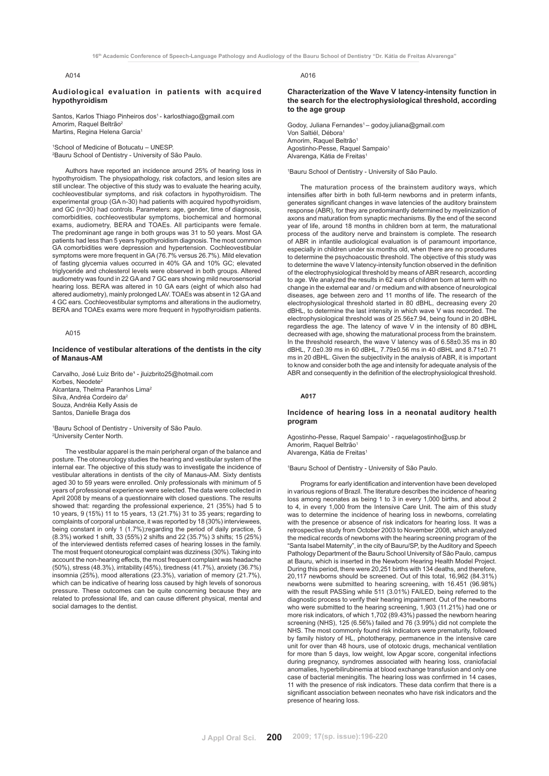# A014

#### **Audiological evaluation in patients with acquired hypothyroidism**

Santos, Karlos Thiago Pinheiros dos<sup>1</sup> - karlosthiago@gmail.com Amorim, Raquel Beltrão<sup>2</sup> Martins, Regina Helena Garcia<sup>1</sup>

1 School of Medicine of Botucatu – UNESP. 2 Bauru School of Dentistry - University of São Paulo.

Authors have reported an incidence around 25% of hearing loss in hypothyroidism. The physiopathology, risk cofactors, and lesion sites are still unclear. The objective of this study was to evaluate the hearing acuity, cochleovestibular symptoms, and risk cofactors in hypothyroidism. The experimental group (GA n-30) had patients with acquired hypothyroidism, and GC (n=30) had controls. Parameters: age, gender, time of diagnosis, comorbidities, cochleovestibular symptoms, biochemical and hormonal exams, audiometry, BERA and TOAEs. All participants were female. The predominant age range in both groups was 31 to 50 years. Most GA patients had less than 5 years hypothyroidism diagnosis. The most common GA comorbidities were depression and hypertension. Cochleovestibular symptoms were more frequent in GA (76.7% versus 26.7%). Mild elevation of fasting glycemia values occurred in 40% GA and 10% GC; elevated triglyceride and cholesterol levels were observed in both groups. Altered audiometry was found in 22 GA and 7 GC ears showing mild neurosensorial hearing loss. BERA was altered in 10 GA ears (eight of which also had altered audiometry), mainly prolonged LAV. TOAEs was absent in 12 GA and 4 GC ears. Cochleovestibular symptoms and alterations in the audiometry, BERA and TOAEs exams were more frequent in hypothyroidism patients.

#### A015

## **Incidence of vestibular alterations of the dentists in the city of Manaus-AM**

Carvalho, José Luiz Brito de<sup>1</sup> - jluizbrito25@hotmail.com Korbes, Neodete<sup>2</sup> Alcantara, Thelma Paranhos Lima2 Silva, Andréa Cordeiro da2 Souza, Andréia Kelly Assis de Santos, Danielle Braga dos

1 Bauru School of Dentistry - University of São Paulo. 2 University Center North.

The vestibular apparel is the main peripheral organ of the balance and posture. The otoneurology studies the hearing and vestibular system of the internal ear. The objective of this study was to investigate the incidence of vestibular alterations in dentists of the city of Manaus-AM. Sixty dentists aged 30 to 59 years were enrolled. Only professionals with minimum of 5 years of professional experience were selected. The data were collected in April 2008 by means of a questionnaire with closed questions. The results showed that: regarding the professional experience, 21 (35%) had 5 to 10 years, 9 (15%) 11 to 15 years, 13 (21.7%) 31 to 35 years; regarding to complaints of corporal unbalance, it was reported by 18 (30%) interviewees, being constant in only 1 (1.7%);regarding the period of daily practice, 5 (8.3%) worked 1 shift, 33 (55%) 2 shifts and 22 (35.7%) 3 shifts; 15 (25%) of the interviewed dentists referred cases of hearing losses in the family. The most frequent otoneurogical complaint was dizziness (30%). Taking into account the non-hearing effects, the most frequent complaint was headache (50%), stress (48.3%), irritability (45%), tiredness (41.7%), anxiety (36.7%) insomnia (25%), mood alterations (23.3%), variation of memory (21.7%), which can be indicative of hearing loss caused by high levels of sonorous pressure. These outcomes can be quite concerning because they are related to professional life, and can cause different physical, mental and social damages to the dentist.

A016

**Characterization of the Wave V latency-intensity function in the search for the electrophysiological threshold, according to the age group**

Godoy, Juliana Fernandes<sup>1</sup> – godoy.juliana@gmail.com Von Saltiél, Débora<sup>1</sup> Amorim, Raquel Beltrão<sup>1</sup> Agostinho-Pesse, Raquel Sampaio<sup>1</sup> Alvarenga, Kátia de Freitas1

1 Bauru School of Dentistry - University of São Paulo.

The maturation process of the brainstem auditory ways, which intensifies after birth in both full-term newborns and in preterm infants, generates significant changes in wave latencies of the auditory brainstem response (ABR), for they are predominantly determined by myelinization of axons and maturation from synaptic mechanisms. By the end of the second year of life, around 18 months in children born at term, the maturational process of the auditory nerve and brainstem is complete. The research of ABR in infantile audiological evaluation is of paramount importance, especially in children under six months old, when there are no procedures to determine the psychoacoustic threshold. The objective of this study was to determine the wave V latency-intensity function observed in the definition of the electrophysiological threshold by means of ABR research, according to age. We analyzed the results in 62 ears of children born at term with no change in the external ear and / or medium and with absence of neurological diseases, age between zero and 11 months of life. The research of the electrophysiological threshold started in 80 dBHL, decreasing every 20 dBHL, to determine the last intensity in which wave V was recorded. The electrophysiological threshold was of 25.56±7.94, being found in 20 dBHL regardless the age. The latency of wave V in the intensity of 80 dBHL decreased with age, showing the maturational process from the brainstem. In the threshold research, the wave V latency was of 6.58±0.35 ms in 80 dBHL, 7.0±0.39 ms in 60 dBHL, 7.79±0.56 ms in 40 dBHL and 8.71±0.71 ms in 20 dBHL. Given the subjectivity in the analysis of ABR, it is important to know and consider both the age and intensity for adequate analysis of the ABR and consequently in the definition of the electrophysiological threshold.

# **A017**

# **Incidence of hearing loss in a neonatal auditory health program**

#### Agostinho-Pesse, Raquel Sampaio<sup>1</sup> - raquelagostinho@usp.br Amorim, Raquel Beltrão<sup>1</sup> Alvarenga, Kátia de Freitas<sup>1</sup>

# 1 Bauru School of Dentistry - University of São Paulo.

Programs for early identification and intervention have been developed in various regions of Brazil. The literature describes the incidence of hearing loss among neonates as being 1 to 3 in every 1,000 births, and about 2 to 4, in every 1,000 from the Intensive Care Unit. The aim of this study was to determine the incidence of hearing loss in newborns, correlating with the presence or absence of risk indicators for hearing loss. It was a retrospective study from October 2003 to November 2008, which analyzed the medical records of newborns with the hearing screening program of the "Santa Isabel Maternity", in the city of Bauru/SP, by the Auditory and Speech Pathology Department of the Bauru School University of São Paulo, campus at Bauru, which is inserted in the Newborn Hearing Health Model Project. During this period, there were 20,251 births with 134 deaths, and therefore, 20,117 newborns should be screened. Out of this total, 16,962 (84.31%) newborns were submitted to hearing screening, with 16.451 (96.98%) with the result PASSing while 511 (3.01%) FAILED, being referred to the diagnostic process to verify their hearing impairment. Out of the newborns who were submitted to the hearing screening, 1,903 (11.21%) had one or more risk indicators, of which 1,702 (89.43%) passed the newborn hearing screening (NHS), 125 (6.56%) failed and 76 (3.99%) did not complete the NHS. The most commonly found risk indicators were prematurity, followed by family history of HL, phototherapy, permanence in the intensive care unit for over than 48 hours, use of ototoxic drugs, mechanical ventilation for more than 5 days, low weight, low Apgar score, congenital infections during pregnancy, syndromes associated with hearing loss, craniofacial anomalies, hyperbilirubinemia at blood exchange transfusion and only one case of bacterial meningitis. The hearing loss was confirmed in 14 cases, 11 with the presence of risk indicators. These data confirm that there is a significant association between neonates who have risk indicators and the presence of hearing loss.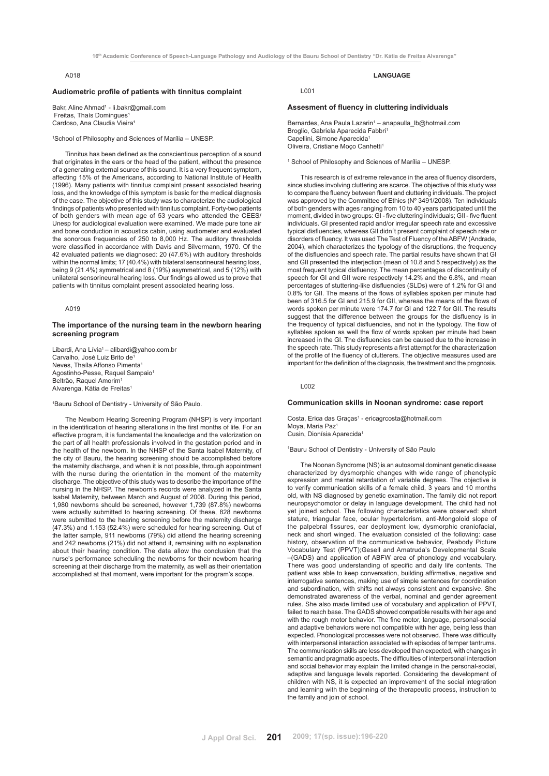# A018

# **Audiometric profile of patients with tinnitus complaint**

Bakr, Aline Ahmad<sup>1</sup> - li.bakr@gmail.com Freitas, Thaís Domingues<sup>1</sup> Cardoso, Ana Claudia Vieira<sup>1</sup>

1 School of Philosophy and Sciences of Marília – UNESP.

Tinnitus has been defined as the conscientious perception of a sound that originates in the ears or the head of the patient, without the presence of a generating external source of this sound. It is a very frequent symptom, affecting 15% of the Americans, according to National Institute of Health (1996). Many patients with tinnitus complaint present associated hearing loss, and the knowledge of this symptom is basic for the medical diagnosis of the case. The objective of this study was to characterize the audiological findings of patients who presented with tinnitus complaint. Forty-two patients of both genders with mean age of 53 years who attended the CEES/ Unesp for audiological evaluation were examined. We made pure tone air and bone conduction in acoustics cabin, using audiometer and evaluated the sonorous frequencies of 250 to 8,000 Hz. The auditory thresholds were classified in accordance with Davis and Silvermann, 1970. Of the 42 evaluated patients we diagnosed: 20 (47.6%) with auditory thresholds within the normal limits; 17 (40.4%) with bilateral sensorineural hearing loss, being 9 (21.4%) symmetrical and 8 (19%) asymmetrical, and 5 (12%) with unilateral sensorineural hearing loss. Our findings allowed us to prove that patients with tinnitus complaint present associated hearing loss.

## A019

#### **The importance of the nursing team in the newborn hearing screening program**

Libardi, Ana Lívia<sup>1</sup> – alibardi@yahoo.com.br Carvalho, José Luiz Brito de Neves, Thaíla Affonso Pimenta1 Agostinho-Pesse, Raquel Sampaio1 Beltrão, Raquel Amorim1 Alvarenga, Kátia de Freitas<sup>1</sup>

1 Bauru School of Dentistry - University of São Paulo.

The Newborn Hearing Screening Program (NHSP) is very important in the identification of hearing alterations in the first months of life. For an effective program, it is fundamental the knowledge and the valorization on the part of all health professionals involved in the gestation period and in the health of the newborn. In the NHSP of the Santa Isabel Maternity, of the city of Bauru, the hearing screening should be accomplished before the maternity discharge, and when it is not possible, through appointment with the nurse during the orientation in the moment of the maternity discharge. The objective of this study was to describe the importance of the nursing in the NHSP. The newborn's records were analyzed in the Santa Isabel Maternity, between March and August of 2008. During this period, 1,980 newborns should be screened, however 1,739 (87.8%) newborns were actually submitted to hearing screening. Of these, 828 newborns were submitted to the hearing screening before the maternity discharge (47.3%) and 1.153 (52.4%) were scheduled for hearing screening. Out of the latter sample, 911 newborns (79%) did attend the hearing screening and 242 newborns (21%) did not attend it, remaining with no explanation about their hearing condition. The data allow the conclusion that the nurse's performance scheduling the newborns for their newborn hearing screening at their discharge from the maternity, as well as their orientation accomplished at that moment, were important for the program's scope.

#### **Assesment of fluency in cluttering individuals**

Bernardes, Ana Paula Lazarin<sup>1</sup> - anapaulla\_lb@hotmail.com Broglio, Gabriela Aparecida Fabbri<sup>1</sup> Capellini, Simone Aparecida<sup>1</sup> Oliveira, Cristiane Moço Canhetti1

**LANGUAGE**

1 School of Philosophy and Sciences of Marília – UNESP.

This research is of extreme relevance in the area of fluency disorders, since studies involving cluttering are scarce. The objective of this study was to compare the fluency between fluent and cluttering individuals. The project was approved by the Committee of Ethics (Nº 3491/2008). Ten individuals of both genders with ages ranging from 10 to 40 years participated until the moment, divided in two groups: GI - five cluttering individuals; GII - five fluent individuals. GI presented rapid and/or irregular speech rate and excessive typical disfluencies, whereas GII didn´t present complaint of speech rate or disorders of fluency. It was used The Test of Fluency of the ABFW (Andrade, 2004), which characterizes the typology of the disruptions, the frequency of the disfluencies and speech rate. The partial results have shown that GI and GII presented the interjection (mean of 10.8 and 5 respectively) as the most frequent typical disfluency. The mean percentages of discontinuity of speech for GI and GII were respectively 14.2% and the 6.8%, and mean percentages of stuttering-like disfluencies (SLDs) were of 1.2% for GI and 0.8% for GII. The means of the flows of syllables spoken per minute had been of 316.5 for GI and 215.9 for GII, whereas the means of the flows of words spoken per minute were 174.7 for GI and 122.7 for GII. The results suggest that the difference between the groups for the disfluency is in the frequency of typical disfluencies, and not in the typology. The flow of syllables spoken as well the flow of words spoken per minute had been increased in the GI. The disfluencies can be caused due to the increase in the speech rate. This study represents a first attempt for the characterization of the profile of the fluency of clutterers. The objective measures used are important for the definition of the diagnosis, the treatment and the prognosis.

L002

# **Communication skills in Noonan syndrome: case report**

Costa, Erica das Graças<sup>1</sup> - ericagrcosta@hotmail.com Moya, Maria Paz<sup>1</sup> Cusin, Dionísia Aparecida<sup>1</sup>

1 Bauru School of Dentistry - University of São Paulo

The Noonan Syndrome (NS) is an autosomal dominant genetic disease characterized by dysmorphic changes with wide range of phenotypic expression and mental retardation of variable degrees. The objective is to verify communication skills of a female child, 3 years and 10 months old, with NS diagnosed by genetic examination. The family did not report neuropsychomotor or delay in language development. The child had not yet joined school. The following characteristics were observed: short stature, triangular face, ocular hypertelorism, anti-Mongoloid slope of the palpebral fissures, ear deployment low, dysmorphic craniofacial, neck and short winged. The evaluation consisted of the following: case history, observation of the communicative behavior, Peabody Picture Vocabulary Test (PPVT);Gesell and Amatruda's Developmental Scale –(GADS) and application of ABFW area of phonology and vocabulary. There was good understanding of specific and daily life contents. The patient was able to keep conversation, building affirmative, negative and interrogative sentences, making use of simple sentences for coordination and subordination, with shifts not always consistent and expansive. She demonstrated awareness of the verbal, nominal and gender agreement rules. She also made limited use of vocabulary and application of PPVT, failed to reach base. The GADS showed compatible results with her age and with the rough motor behavior. The fine motor, language, personal-social and adaptive behaviors were not compatible with her age, being less than expected. Phonological processes were not observed. There was difficulty with interpersonal interaction associated with episodes of temper tantrums. The communication skills are less developed than expected, with changes in semantic and pragmatic aspects. The difficulties of interpersonal interaction and social behavior may explain the limited change in the personal-social, adaptive and language levels reported. Considering the development of children with NS, it is expected an improvement of the social integration and learning with the beginning of the therapeutic process, instruction to the family and join of school.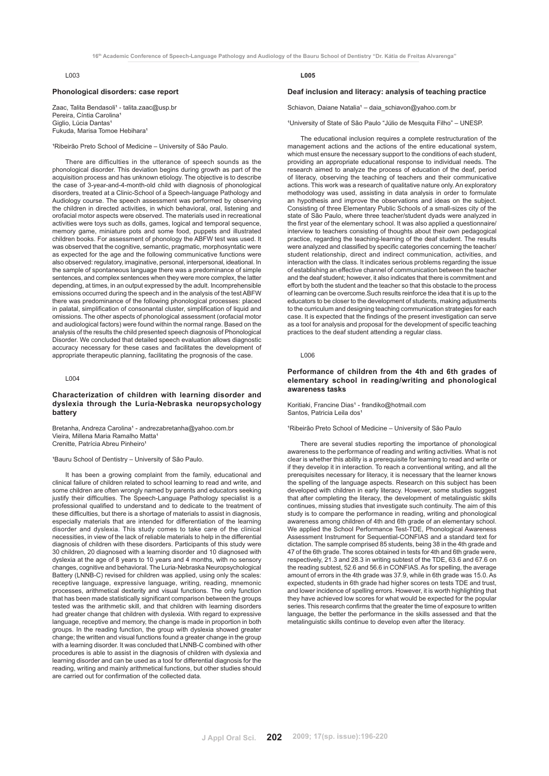#### **Phonological disorders: case report**

Zaac, Talita Bendasoli<sup>1</sup> - talita.zaac@usp.br Pereira, Cíntia Carolina<sup>1</sup> Giglio, Lúcia Dantas Fukuda, Marisa Tomoe Hebihara<sup>1</sup>

<sup>1</sup>Ribeirão Preto School of Medicine – University of São Paulo.

There are difficulties in the utterance of speech sounds as the phonological disorder. This deviation begins during growth as part of the acquisition process and has unknown etiology. The objective is to describe the case of 3-year-and-4-month-old child with diagnosis of phonological disorders, treated at a Clinic-School of a Speech-language Pathology and Audiology course. The speech assessment was performed by observing the children in directed activities, in which behavioral, oral, listening and orofacial motor aspects were observed. The materials used in recreational activities were toys such as dolls, games, logical and temporal sequence, memory game, miniature pots and some food, puppets and illustrated children books. For assessment of phonology the ABFW test was used. It was observed that the cognitive, semantic, pragmatic, morphosyntatic were as expected for the age and the following communicative functions were also observed: regulatory, imaginative, personal, interpersonal, ideational. In the sample of spontaneous language there was a predominance of simple sentences, and complex sentences when they were more complex, the latter depending, at times, in an output expressed by the adult. Incomprehensible emissions occurred during the speech and in the analysis of the test ABFW there was predominance of the following phonological processes: placed in palatal, simplification of consonantal cluster, simplification of liquid and omissions. The other aspects of phonological assessment (orofacial motor and audiological factors) were found within the normal range. Based on the analysis of the results the child presented speech diagnosis of Phonological Disorder. We concluded that detailed speech evaluation allows diagnostic accuracy necessary for these cases and facilitates the development of appropriate therapeutic planning, facilitating the prognosis of the case.

# L004

# **Characterization of children with learning disorder and dyslexia through the Luria-Nebraska neuropsychology battery**

Bretanha. Andreza Carolina<sup>1</sup> - andrezabretanha@yahoo.com.br Vieira, Millena Maria Ramalho Matta Crenitte, Patrícia Abreu Pinheiro<sup>1</sup>

# <sup>1</sup>Bauru School of Dentistry - University of São Paulo.

It has been a growing complaint from the family, educational and clinical failure of children related to school learning to read and write, and some children are often wrongly named by parents and educators seeking justify their difficulties. The Speech-Language Pathology specialist is a professional qualified to understand and to dedicate to the treatment of these difficulties, but there is a shortage of materials to assist in diagnosis, especially materials that are intended for differentiation of the learning disorder and dyslexia. This study comes to take care of the clinical necessities, in view of the lack of reliable materials to help in the differential diagnosis of children with these disorders. Participants of this study were 30 children, 20 diagnosed with a learning disorder and 10 diagnosed with dyslexia at the age of 8 years to 10 years and 4 months, with no sensory changes, cognitive and behavioral. The Luria-Nebraska Neuropsychological Battery (LNNB-C) revised for children was applied, using only the scales: receptive language, expressive language, writing, reading, mnemonic processes, arithmetical dexterity and visual functions. The only function that has been made statistically significant comparison between the groups tested was the arithmetic skill, and that children with learning disorders had greater change that children with dyslexia. With regard to expressive language, receptive and memory, the change is made in proportion in both groups. In the reading function, the group with dyslexia showed greater change; the written and visual functions found a greater change in the group with a learning disorder. It was concluded that LNNB-C combined with other procedures is able to assist in the diagnosis of children with dyslexia and learning disorder and can be used as a tool for differential diagnosis for the reading, writing and mainly arithmetical functions, but other studies should are carried out for confirmation of the collected data.

# **L005**

#### **Deaf inclusion and literacy: analysis of teaching practice**

Schiavon, Daiane Natalia<sup>1</sup> – daia\_schiavon@yahoo.com.br

<sup>1</sup>University of State of São Paulo "Júlio de Mesquita Filho" - UNESP.

The educational inclusion requires a complete restructuration of the management actions and the actions of the entire educational system, which must ensure the necessary support to the conditions of each student, providing an appropriate educational response to individual needs. The research aimed to analyze the process of education of the deaf, period of literacy, observing the teaching of teachers and their communicative actions. This work was a research of qualitative nature only. An exploratory methodology was used, assisting in data analysis in order to formulate an hypothesis and improve the observations and ideas on the subject. Consisting of three Elementary Public Schools of a small-sizes city of the state of São Paulo, where three teacher/student dyads were analyzed in the first year of the elementary school. It was also applied a questionnaire/ interview to teachers consisting of thoughts about their own pedagogical practice, regarding the teaching-learning of the deaf student. The results were analyzed and classified by specific categories concerning the teacher/ student relationship, direct and indirect communication, activities, and interaction with the class. It indicates serious problems regarding the issue of establishing an effective channel of communication between the teacher and the deaf student; however, it also indicates that there is commitment and effort by both the student and the teacher so that this obstacle to the process of learning can be overcome.Such results reinforce the idea that it is up to the educators to be closer to the development of students, making adjustments to the curriculum and designing teaching communication strategies for each case. It is expected that the findings of the present investigation can serve as a tool for analysis and proposal for the development of specific teaching practices to the deaf student attending a regular class.

L006

# **Performance of children from the 4th and 6th grades of elementary school in reading/writing and phonological awareness tasks**

Koritiaki, Francine Dias<sup>1</sup> - frandiko@hotmail.com Santos, Patricia Leila dos<sup>1</sup>

<sup>1</sup>Ribeirão Preto School of Medicine – University of São Paulo

There are several studies reporting the importance of phonological awareness to the performance of reading and writing activities. What is not clear is whether this ability is a prerequisite for learning to read and write or if they develop it in interaction. To reach a conventional writing, and all the prerequisites necessary for literacy, it is necessary that the learner knows the spelling of the language aspects. Research on this subject has been developed with children in early literacy. However, some studies suggest that after completing the literacy, the development of metalinguistic skills continues, missing studies that investigate such continuity. The aim of this study is to compare the performance in reading, writing and phonological awareness among children of 4th and 6th grade of an elementary school. We applied the School Performance Test-TDE, Phonological Awareness Assessment Instrument for Sequential-CONFIAS and a standard text for dictation. The sample comprised 85 students, being 38 in the 4th grade and 47 of the 6th grade. The scores obtained in tests for 4th and 6th grade were, respectively, 21.3 and 28.3 in writing subtest of the TDE, 63.6 and 67.6 on the reading subtest, 52.6 and 56.6 in CONFIAS. As for spelling, the average amount of errors in the 4th grade was 37.9, while in 6th grade was 15.0. As expected, students in 6th grade had higher scores on tests TDE and trust, and lower incidence of spelling errors. However, it is worth highlighting that they have achieved low scores for what would be expected for the popular series. This research confirms that the greater the time of exposure to written language, the better the performance in the skills assessed and that the metalinguistic skills continue to develop even after the literacy.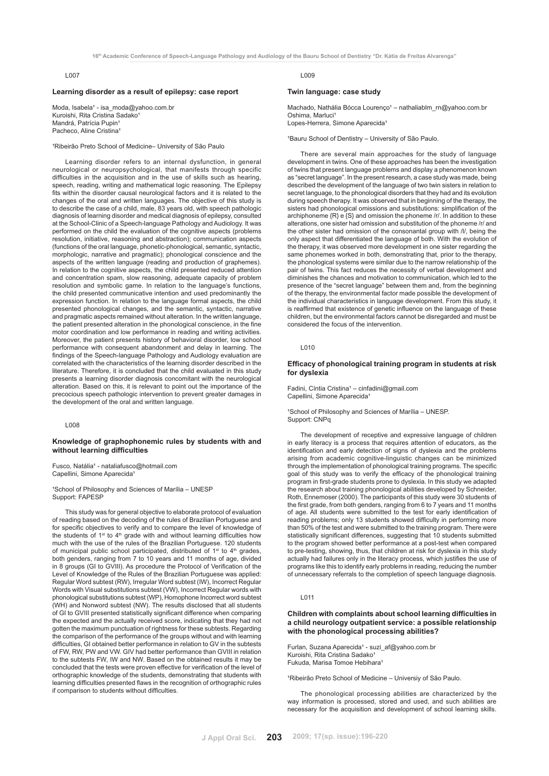#### **Learning disorder as a result of epilepsy: case report**

Moda, Isabela<sup>1</sup> - isa\_moda@yahoo.com.br Kuroishi, Rita Cristina Sadako<sup>1</sup> Mandrá, Patrícia Pupin<sup>1</sup> Pacheco, Aline Cristina<sup>1</sup>

<sup>1</sup>Ribeirão Preto School of Medicine- University of São Paulo

Learning disorder refers to an internal dysfunction, in general neurological or neuropsychological, that manifests through specific difficulties in the acquisition and in the use of skills such as hearing, speech, reading, writing and mathematical logic reasoning. The Epilepsy fits within the disorder causal neurological factors and it is related to the changes of the oral and written languages. The objective of this study is to describe the case of a child, male, 83 years old, with speech pathologic diagnosis of learning disorder and medical diagnosis of epilepsy, consulted at the School-Clinic of a Speech-language Pathology and Audiology. It was performed on the child the evaluation of the cognitive aspects (problems resolution, initiative, reasoning and abstraction); communication aspects (functions of the oral language, phonetic-phonological, semantic, syntactic, morphologic, narrative and pragmatic); phonological conscience and the aspects of the written language (reading and production of graphemes). In relation to the cognitive aspects, the child presented reduced attention and concentration spam, slow reasoning, adequate capacity of problem resolution and symbolic game. In relation to the language's functions, the child presented communicative intention and used predominantly the expression function. In relation to the language formal aspects, the child presented phonological changes, and the semantic, syntactic, narrative and pragmatic aspects remained without alteration. In the written language, the patient presented alteration in the phonological conscience, in the fine motor coordination and low performance in reading and writing activities. Moreover, the patient presents history of behavioral disorder, low school performance with consequent abandonment and delay in learning. The findings of the Speech-language Pathology and Audiology evaluation are correlated with the characteristics of the learning disorder described in the literature. Therefore, it is concluded that the child evaluated in this study presents a learning disorder diagnosis concomitant with the neurological alteration. Based on this, it is relevant to point out the importance of the precocious speech pathologic intervention to prevent greater damages in the development of the oral and written language.

L008

# **Knowledge of graphophonemic rules by students with and without learning difficulties**

Fusco, Natália<sup>1</sup> - nataliafusco@hotmail.com Capellini, Simone Aparecida<sup>1</sup>

<sup>1</sup>School of Philosophy and Sciences of Marília - UNESP Support: FAPESP

This study was for general objective to elaborate protocol of evaluation of reading based on the decoding of the rules of Brazilian Portuguese and for specific objectives to verify and to compare the level of knowledge of the students of  $1^{st}$  to  $4^{th}$  grade with and without learning difficulties how much with the use of the rules of the Brazilian Portuguese. 120 students of municipal public school participated, distributed of  $1^{st}$  to  $4^{th}$  grades, both genders, ranging from 7 to 10 years and 11 months of age, divided in 8 groups (GI to GVIII). As procedure the Protocol of Verification of the Level of Knowledge of the Rules of the Brazilian Portuguese was applied: Regular Word subtest (RW), Irregular Word subtest (IW), Incorrect Regular Words with Visual substitutions subtest (VW), Incorrect Regular words with phonological substitutions subtest (WP), Homophone Incorrect word subtest (WH) and Nonword subtest (NW). The results disclosed that all students of GI to GVIII presented statistically significant difference when comparing the expected and the actually received score, indicating that they had not gotten the maximum punctuation of rightness for these subtests. Regarding the comparison of the performance of the groups without and with learning difficulties, GI obtained better performance in relation to GV in the subtests of FW, RW, PW and VW. GIV had better performance than GVIII in relation to the subtests FW, IW and NW. Based on the obtained results it may be concluded that the tests were proven effective for verification of the level of orthographic knowledge of the students, demonstrating that students with learning difficulties presented flaws in the recognition of orthographic rules if comparison to students without difficulties.

L009

#### **Twin language: case study**

Machado, Nathália Bócca Lourenço<sup>1</sup> – nathaliablm\_rn@yahoo.com.br Oshima, Marluci<sup>1</sup> Lopes-Herrera, Simone Aparecida<sup>1</sup>

<sup>1</sup>Bauru School of Dentistry - University of São Paulo.

There are several main approaches for the study of language development in twins. One of these approaches has been the investigation of twins that present language problems and display a phenomenon known as "secret language". In the present research, a case study was made, being described the development of the language of two twin sisters in relation to secret language, to the phonological disorders that they had and its evolution during speech therapy. It was observed that in beginning of the therapy, the sisters had phonological omissions and substitutions: simplification of the archiphoneme {R} e {S} and omission the phoneme /r/. In addition to these alterations, one sister had omission and substitution of the phoneme /r/ and the other sister had omission of the consonantal group with /l/, being the only aspect that differentiated the language of both. With the evolution of the therapy, it was observed more development in one sister regarding the same phonemes worked in both, demonstrating that, prior to the therapy, the phonological systems were similar due to the narrow relationship of the pair of twins. This fact reduces the necessity of verbal development and diminishes the chances and motivation to communication, which led to the presence of the "secret language" between them and, from the beginning of the therapy, the environmental factor made possible the development of the individual characteristics in language development. From this study, it is reaffirmed that existence of genetic influence on the language of these children, but the environmental factors cannot be disregarded and must be considered the focus of the intervention.

 $L010$ 

## **Efficacy of phonological training program in students at risk for dyslexia**

Fadini, Cíntia Cristina<sup>1</sup> – cinfadini@gmail.com Capellini, Simone Aparecida<sup>1</sup>

<sup>1</sup>School of Philosophy and Sciences of Marília – UNESP. Support: CNPq

The development of receptive and expressive language of children in early literacy is a process that requires attention of educators, as the identification and early detection of signs of dyslexia and the problems arising from academic cognitive-linguistic changes can be minimized through the implementation of phonological training programs. The specific goal of this study was to verify the efficacy of the phonological training program in first-grade students prone to dyslexia. In this study we adapted the research about training phonological abilities developed by Schneider, Roth, Ennemoser (2000). The participants of this study were 30 students of the first grade, from both genders, ranging from 6 to 7 years and 11 months of age. All students were submitted to the test for early identification of reading problems; only 13 students showed difficulty in performing more than 50% of the test and were submitted to the training program. There were statistically significant differences, suggesting that 10 students submitted to the program showed better performance at a post-test when compared to pre-testing, showing, thus, that children at risk for dyslexia in this study actually had failures only in the literacy process, which justifies the use of programs like this to identify early problems in reading, reducing the number of unnecessary referrals to the completion of speech language diagnosis.

L011

# **Children with complaints about school learning difficulties in a child neurology outpatient service: a possible relationship with the phonological processing abilities?**

Furlan, Suzana Aparecida<sup>1</sup> - suzi\_af@yahoo.com.br Kuroishi, Rita Cristina Sadako<sup>1</sup> Fukuda, Marisa Tomoe Hebihara<sup>1</sup>

<sup>1</sup>Ribeirão Preto School of Medicine – Universiy of São Paulo.

The phonological processing abilities are characterized by the way information is processed, stored and used, and such abilities are necessary for the acquisition and development of school learning skills.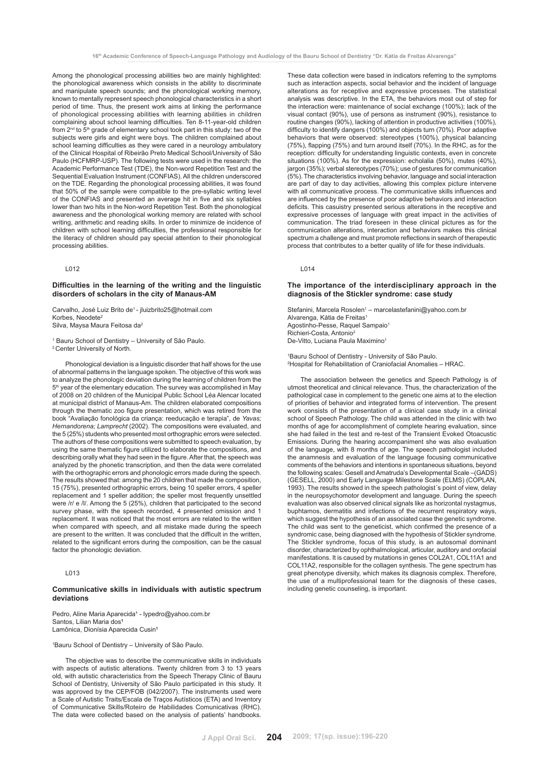Among the phonological processing abilities two are mainly highlighted: the phonological awareness which consists in the ability to discriminate and manipulate speech sounds; and the phonological working memory, known to mentally represent speech phonological characteristics in a short period of time. Thus, the present work aims at linking the performance of phonological processing abilities with learning abilities in children complaining about school learning difficulties. Ten 8-11-year-old children from 2<sup>nd</sup> to 5<sup>th</sup> grade of elementary school took part in this study: two of the subjects were girls and eight were boys. The children complained about school learning difficulties as they were cared in a neurology ambulatory of the Clinical Hospital of Ribeirão Preto Medical School/University of São Paulo (HCFMRP-USP). The following tests were used in the research: the Academic Performance Test (TDE), the Non-word Repetition Test and the Sequential Evaluation Instrument (CONFIAS). All the children underscored on the TDE. Regarding the phonological processing abilities, it was found that 50% of the sample were compatible to the pre-syllabic writing level of the CONFIAS and presented an average hit in five and six syllables lower than two hits in the Non-word Repetition Test. Both the phonological awareness and the phonological working memory are related with school writing, arithmetic and reading skills. In order to minimize de incidence of children with school learning difficulties, the professional responsible for the literacy of children should pay special attention to their phonological processing abilities.

## L012

# **Difficulties in the learning of the writing and the linguistic disorders of scholars in the city of Manaus-AM**

Carvalho, José Luiz Brito de1 - jluizbrito25@hotmail.com Korbes, Neodete<sup>2</sup> Silva, Maysa Maura Feitosa da2

<sup>1</sup> Bauru School of Dentistry - University of São Paulo. 2 Center University of North.

Phonological deviation is a linguistic disorder that half shows for the use of abnormal patterns in the language spoken. The objective of this work was to analyze the phonologic deviation during the learning of children from the 5th year of the elementary education. The survey was accomplished in May of 2008 on 20 children of the Municipal Public School Léa Alencar located at municipal district of Manaus-Am. The children elaborated compositions through the thematic zoo figure presentation, which was retired from the book "Avaliação fonológica da criança: reeducação e terapia", de *Yavas; Hernandorena; Lamprecht* (2002). The compositions were evaluated, and the 5 (25%) students who presented most orthographic errors were selected. The authors of these compositions were submitted to speech evaluation, by using the same thematic figure utilized to elaborate the compositions, and describing orally what they had seen in the figure. After that, the speech was analyzed by the phonetic transcription, and then the data were correlated with the orthographic errors and phonologic errors made during the speech. The results showed that: among the 20 children that made the composition, 15 (75%), presented orthographic errors, being 10 speller errors, 4 speller replacement and 1 speller addition; the speller most frequently unsettled were /r/ e /l/. Among the 5 (25%), children that participated to the second survey phase, with the speech recorded, 4 presented omission and 1 replacement. It was noticed that the most errors are related to the written when compared with speech, and all mistake made during the speech are present to the written. It was concluded that the difficult in the written, related to the significant errors during the composition, can be the casual factor the phonologic deviation.

# L013

# **Communicative skills in individuals with autistic spectrum deviations**

Pedro, Aline Maria Aparecida<sup>1</sup> - lypedro@yahoo.com.br Santos, Lilian Maria dos**<sup>1</sup>** Lamônica, Dionísia Aparecida Cusin**<sup>1</sup>**

1 Bauru School of Dentistry – University of São Paulo.

The objective was to describe the communicative skills in individuals with aspects of autistic alterations. Twenty children from 3 to 13 years old, with autistic characteristics from the Speech Therapy Clinic of Bauru School of Dentistry, University of São Paulo participated in this study. It was approved by the CEP/FOB (042/2007). The instruments used were a Scale of Autistic Traits/Escala de Traços Autísticos (ETA) and Inventory of Communicative Skills/Roteiro de Habilidades Comunicativas (RHC). The data were collected based on the analysis of patients' handbooks.

These data collection were based in indicators referring to the symptoms such as interaction aspects, social behavior and the incident of language alterations as for receptive and expressive processes. The statistical analysis was descriptive. In the ETA, the behaviors most out of step for the interaction were: maintenance of social exchange  $(100\%)$ ; lack of the visual contact (90%), use of persons as instrument (90%), resistance to routine changes (90%), lacking of attention in productive activities (100%), difficulty to identify dangers (100%) and objects turn (70%). Poor adaptive behaviors that were observed: stereotypes (100%), physical balancing (75%), flapping (75%) and turn around itself (70%). In the RHC, as for the reception: difficulty for understanding linguistic contexts, even in concrete situations (100%). As for the expression: echolalia (50%), mutes (40%), jargon (35%); verbal stereotypes (70%); use of gestures for communication (5%). The characteristics involving behavior, language and social interaction are part of day to day activities, allowing this complex picture intervene with all communicative process. The communicative skills influences and are influenced by the presence of poor adaptive behaviors and interaction deficits. This casuistry presented serious alterations in the receptive and expressive processes of language with great impact in the activities of communication. The triad foreseen in these clinical pictures as for the communication alterations, interaction and behaviors makes this clinical spectrum a challenge and must promote reflections in search of therapeutic process that contributes to a better quality of life for these individuals.

## L014

# **The importance of the interdisciplinary approach in the diagnosis of the Stickler syndrome: case study**

Stefanini, Marcela Rosolen<sup>1</sup> - marcelastefanini@yahoo.com.br Alvarenga, Kátia de Freitas1 Agostinho-Pesse, Raquel Sampaio1 Richieri-Costa, Antonio2 De-Vitto, Luciana Paula Maximino<sup>1</sup>

1 Bauru School of Dentistry - University of São Paulo. 2 Hospital for Rehabilitation of Craniofacial Anomalies – HRAC.

The association between the genetics and Speech Pathology is of utmost theoretical and clinical relevance. Thus, the characterization of the pathological case in complement to the genetic one aims at to the election of priorities of behavior and integrated forms of intervention. The present work consists of the presentation of a clinical case study in a clinical school of Speech Pathology. The child was attended in the clinic with two months of age for accomplishment of complete hearing evaluation, since she had failed in the test and re-test of the Transient Evoked Otoacustic Emissions. During the hearing accompaniment she was also evaluation of the language, with 8 months of age. The speech pathologist included the anamnesis and evaluation of the language focusing communicative comments of the behaviors and intentions in spontaneous situations, beyond the following scales: Gesell and Amatruda's Developmental Scale –(GADS) (GESELL, 2000) and Early Language Milestone Scale (ELMS) (COPLAN, 1993). The results showed in the speech pathologist´s point of view, delay in the neuropsychomotor development and language. During the speech evaluation was also observed clinical signals like as horizontal nystagmus, buphtamos, dermatitis and infections of the recurrent respiratory ways, which suggest the hypothesis of an associated case the genetic syndrome. The child was sent to the geneticist, which confirmed the presence of a syndromic case, being diagnosed with the hypothesis of Stickler syndrome. The Stickler syndrome, focus of this study, is an autosomal dominant disorder, characterized by ophthalmological, articular, auditory and orofacial manifestations. It is caused by mutations in genes COL2A1, COL11A1 and COL11A2, responsible for the collagen synthesis. The gene spectrum has great phenotype diversity, which makes its diagnosis complex. Therefore, the use of a multiprofessional team for the diagnosis of these cases, including genetic counseling, is important.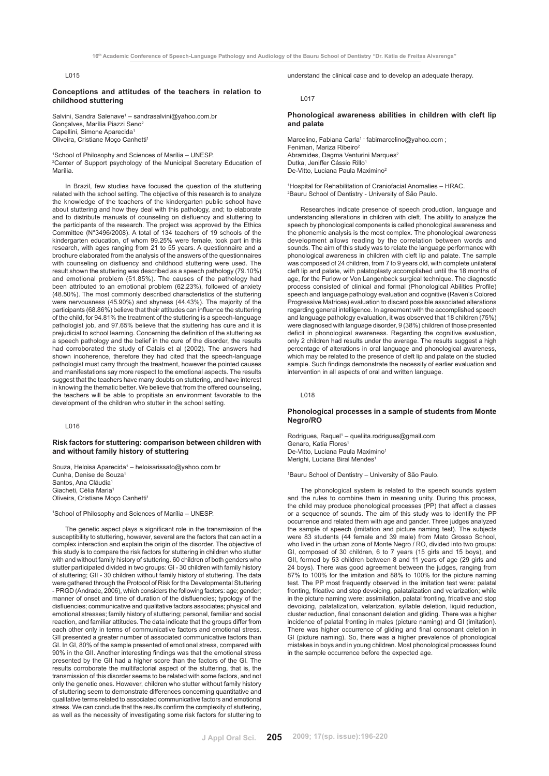**Conceptions and attitudes of the teachers in relation to childhood stuttering** 

Salvini, Sandra Salenave<sup>1</sup> – sandrasalvini@yahoo.com.br Gonçalves, Marília Piazzi Seno2 Capellini, Simone Aparecida<sup>1</sup> Oliveira, Cristiane Moço Canhetti1

1 School of Philosophy and Sciences of Marília – UNESP. 2 Center of Support psychology of the Municipal Secretary Education of Marília.

In Brazil, few studies have focused the question of the stuttering related with the school setting. The objective of this research is to analyze the knowledge of the teachers of the kindergarten public school have about stuttering and how they deal with this pathology, and; to elaborate and to distribute manuals of counseling on disfluency and stuttering to the participants of the research. The project was approved by the Ethics Committee (N°3496/2008). A total of 134 teachers of 19 schools of the kindergarten education, of whom 99.25% were female, took part in this research, with ages ranging from 21 to 55 years. A questionnaire and a brochure elaborated from the analysis of the answers of the questionnaires with counseling on disfluency and childhood stuttering were used. The result shown the stuttering was described as a speech pathology (79.10%) and emotional problem (51.85%). The causes of the pathology had been attributed to an emotional problem (62.23%), followed of anxiety (48.50%). The most commonly described characteristics of the stuttering were nervousness (45.90%) and shyness (44.43%). The majority of the participants (68.86%) believe that their attitudes can influence the stuttering of the child, for 94.81% the treatment of the stuttering is a speech-language pathologist job, and 97.65% believe that the stuttering has cure and it is prejudicial to school learning. Concerning the definition of the stuttering as a speech pathology and the belief in the cure of the disorder, the results had corroborated the study of Calais et al (2002). The answers had shown incoherence, therefore they had cited that the speech-language pathologist must carry through the treatment, however the pointed causes and manifestations say more respect to the emotional aspects. The results suggest that the teachers have many doubts on stuttering, and have interest in knowing the thematic better. We believe that from the offered counseling, the teachers will be able to propitiate an environment favorable to the development of the children who stutter in the school setting.

#### L016

# **Risk factors for stuttering: comparison between children with and without family history of stuttering**

Souza, Heloisa Aparecida<sup>1</sup> – heloisarissato@yahoo.com.br Cunha, Denise de Souza1 Santos, Ana Cláudia<sup>1</sup> Giacheti, Célia Maria<sup>1</sup> Oliveira, Cristiane Moço Canhetti1

1 School of Philosophy and Sciences of Marília – UNESP.

The genetic aspect plays a significant role in the transmission of the susceptibility to stuttering, however, several are the factors that can act in a complex interaction and explain the origin of the disorder. The objective of this study is to compare the risk factors for stuttering in children who stutter with and without family history of stuttering. 60 children of both genders who stutter participated divided in two groups: GI - 30 children with family history of stuttering; GII - 30 children without family history of stuttering. The data were gathered through the Protocol of Risk for the Developmental Stuttering - PRGD (Andrade, 2006), which considers the following factors: age; gender; manner of onset and time of duration of the disfluencies; typology of the disfluencies; communicative and qualitative factors associates; physical and emotional stresses; family history of stuttering; personal, familiar and social reaction, and familiar attitudes. The data indicate that the groups differ from each other only in terms of communicative factors and emotional stress. GII presented a greater number of associated communicative factors than GI. In GI, 80% of the sample presented of emotional stress, compared with 90% in the GII. Another interesting findings was that the emotional stress presented by the GII had a higher score than the factors of the GI. The results corroborate the multifactorial aspect of the stuttering, that is, the transmission of this disorder seems to be related with some factors, and not only the genetic ones. However, children who stutter without family history of stuttering seem to demonstrate differences concerning quantitative and qualitative terms related to associated communicative factors and emotional stress. We can conclude that the results confirm the complexity of stuttering, as well as the necessity of investigating some risk factors for stuttering to

understand the clinical case and to develop an adequate therapy.

#### L017

# **Phonological awareness abilities in children with cleft lip and palate**

Marcelino, Fabiana Carla<sup>1 -</sup> fabimarcelino@yahoo.com ; Feniman, Mariza Ribeiro<sup>2</sup> Abramides, Dagma Venturini Marques<sup>2</sup> Dutka, Jeniffer Cássio Rillo<sup>1</sup> De-Vitto, Luciana Paula Maximino<sup>2</sup>

1 Hospital for Rehabilitation of Craniofacial Anomalies – HRAC. 2 Bauru School of Dentistry - University of São Paulo.

Researches indicate presence of speech production, language and understanding alterations in children with cleft. The ability to analyze the speech by phonological components is called phonological awareness and the phonemic analysis is the most complex. The phonological awareness development allows reading by the correlation between words and sounds. The aim of this study was to relate the language performance with phonological awareness in children with cleft lip and palate. The sample was composed of 24 children, from 7 to 9 years old, with complete unilateral cleft lip and palate, with palatoplasty accomplished until the 18 months of age, for the Furlow or Von Langenbeck surgical technique. The diagnostic process consisted of clinical and formal (Phonological Abilities Profile) speech and language pathology evaluation and cognitive (Raven's Colored Progressive Matrices) evaluation to discard possible associated alterations regarding general intelligence. In agreement with the accomplished speech and language pathology evaluation, it was observed that 18 children (75%) were diagnosed with language disorder, 9 (38%) children of those presented deficit in phonological awareness. Regarding the cognitive evaluation, only 2 children had results under the average. The results suggest a high percentage of alterations in oral language and phonological awareness, which may be related to the presence of cleft lip and palate on the studied sample. Such findings demonstrate the necessity of earlier evaluation and intervention in all aspects of oral and written language.

#### L018

# **Phonological processes in a sample of students from Monte Negro/RO**

Rodrigues, Raquel<sup>1</sup> - queliita.rodrigues@gmail.com Genaro, Katia Flores<sup>1</sup> De-Vitto, Luciana Paula Maximino1 Merighi, Luciana Biral Mendes

1 Bauru School of Dentistry – University of São Paulo.

The phonological system is related to the speech sounds system and the rules to combine them in meaning unity. During this process, the child may produce phonological processes (PP) that affect a classes or a sequence of sounds. The aim of this study was to identify the PP occurrence and related them with age and gander. Three judges analyzed the sample of speech (imitation and picture naming test). The subjects were 83 students (44 female and 39 male) from Mato Grosso School, who lived in the urban zone of Monte Negro / RO, divided into two groups: GI, composed of 30 children, 6 to 7 years (15 girls and 15 boys), and GII, formed by 53 children between 8 and 11 years of age (29 girls and 24 boys). There was good agreement between the judges, ranging from 87% to 100% for the imitation and 88% to 100% for the picture naming test. The PP most frequently observed in the imitation test were: palatal fronting, fricative and stop devoicing, palatalization and velarization; while in the picture naming were: assimilation, palatal fronting, fricative and stop devoicing, palatalization, velarization, syllable deletion, liquid reduction, cluster reduction, final consonant deletion and gliding. There was a higher incidence of palatal fronting in males (picture naming) and GI (imitation). There was higher occurrence of gliding and final consonant deletion in GI (picture naming). So, there was a higher prevalence of phonological mistakes in boys and in young children. Most phonological processes found in the sample occurrence before the expected age.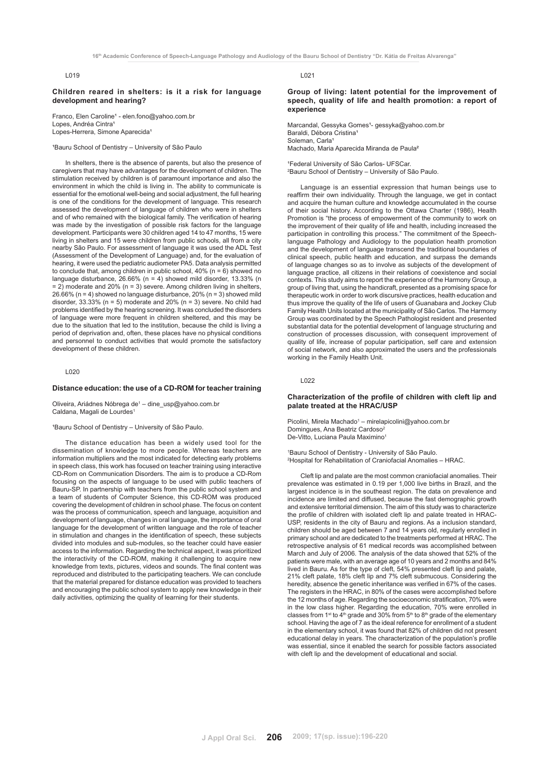## **Children reared in shelters: is it a risk for language development and hearing?**

Franco, Elen Caroline<sup>1</sup> - elen.fono@yahoo.com.br Lopes, Andréa Cintra<sup>1</sup> Lopes-Herrera, Simone Aparecida<sup>1</sup>

<sup>1</sup>Bauru School of Dentistry - University of São Paulo

In shelters, there is the absence of parents, but also the presence of caregivers that may have advantages for the development of children. The stimulation received by children is of paramount importance and also the environment in which the child is living in. The ability to communicate is essential for the emotional well-being and social adjustment, the full hearing is one of the conditions for the development of language. This research assessed the development of language of children who were in shelters and of who remained with the biological family. The verification of hearing was made by the investigation of possible risk factors for the language development. Participants were 30 children aged 14 to 47 months, 15 were living in shelters and 15 were children from public schools, all from a city nearby São Paulo. For assessment of language it was used the ADL Test (Assessment of the Development of Language) and, for the evaluation of hearing, it were used the pediatric audiometer PA5. Data analysis permitted to conclude that, among children in public school,  $40\%$  (n = 6) showed no language disturbance, 26.66% (n = 4) showed mild disorder, 13.33% (n  $= 2$ ) moderate and 20% (n = 3) severe. Among children living in shelters, 26.66% (n = 4) showed no language disturbance, 20% (n = 3) showed mild disorder,  $33.33\%$  (n = 5) moderate and 20% (n = 3) severe. No child had problems identified by the hearing screening. It was concluded the disorders of language were more frequent in children sheltered, and this may be due to the situation that led to the institution, because the child is living a period of deprivation and, often, these places have no physical conditions and personnel to conduct activities that would promote the satisfactory development of these children.

## L020

# **Distance education: the use of a CD-ROM for teacher training**

Oliveira, Ariádnes Nóbrega de<sup>1</sup> – dine\_usp@yahoo.com.br Caldana, Magali de Lourdes<sup>1</sup>

'Bauru School of Dentistry - University of São Paulo.

The distance education has been a widely used tool for the dissemination of knowledge to more people. Whereas teachers are information multipliers and the most indicated for detecting early problems in speech class, this work has focused on teacher training using interactive CD-Rom on Communication Disorders. The aim is to produce a CD-Rom focusing on the aspects of language to be used with public teachers of Bauru-SP. In partnership with teachers from the public school system and a team of students of Computer Science, this CD-ROM was produced covering the development of children in school phase. The focus on content was the process of communication, speech and language, acquisition and development of language, changes in oral language, the importance of oral language for the development of written language and the role of teacher in stimulation and changes in the identification of speech, these subjects divided into modules and sub-modules, so the teacher could have easier access to the information. Regarding the technical aspect, it was prioritized the interactivity of the CD-ROM, making it challenging to acquire new knowledge from texts, pictures, videos and sounds. The final content was reproduced and distributed to the participating teachers. We can conclude that the material prepared for distance education was provided to teachers and encouraging the public school system to apply new knowledge in their daily activities, optimizing the quality of learning for their students.

L021

**Group of living: latent potential for the improvement of speech, quality of life and health promotion: a report of experience**

Marcandal, Gessyka Gomes<sup>1</sup>- gessyka@yahoo.com.br Baraldi, Débora Cristina<sup>1</sup> Soleman, Carla Machado, Maria Aparecida Miranda de Paula²

<sup>1</sup>Federal University of São Carlos- UFSCar. 2 Bauru School of Dentistry – University of São Paulo.

Language is an essential expression that human beings use to reaffirm their own individuality. Through the language, we get in contact and acquire the human culture and knowledge accumulated in the course of their social history. According to the Ottawa Charter (1986), Health Promotion is "the process of empowerment of the community to work on the improvement of their quality of life and health, including increased the participation in controlling this process." The commitment of the Speechlanguage Pathology and Audiology to the population health promotion and the development of language transcend the traditional boundaries of clinical speech, public health and education, and surpass the demands of language changes so as to involve as subjects of the development of language practice, all citizens in their relations of coexistence and social contexts. This study aims to report the experience of the Harmony Group, a group of living that, using the handicraft, presented as a promising space for therapeutic work in order to work discursive practices, health education and thus improve the quality of the life of users of Guanabara and Jockey Club Family Health Units located at the municipality of São Carlos. The Harmony Group was coordinated by the Speech Pathologist resident and presented substantial data for the potential development of language structuring and construction of processes discussion, with consequent improvement of quality of life, increase of popular participation, self care and extension of social network, and also approximated the users and the professionals working in the Family Health Unit.

L022

# **Characterization of the profile of children with cleft lip and palate treated at the HRAC/USP**

Picolini, Mirela Machado<sup>1</sup> – mirelapicolini@yahoo.com.br Domingues, Ana Beatriz Cardoso<sup>2</sup> De-Vitto, Luciana Paula Maximino<sup>1</sup>

1 Bauru School of Dentistry - University of São Paulo. 2 Hospital for Rehabilitation of Craniofacial Anomalies – HRAC.

Cleft lip and palate are the most common craniofacial anomalies. Their prevalence was estimated in 0.19 per 1,000 live births in Brazil, and the largest incidence is in the southeast region. The data on prevalence and incidence are limited and diffused, because the fast demographic growth and extensive territorial dimension. The aim of this study was to characterize the profile of children with isolated cleft lip and palate treated in HRAC-USP, residents in the city of Bauru and regions. As a inclusion standard, children should be aged between 7 and 14 years old, regularly enrolled in primary school and are dedicated to the treatments performed at HRAC. The retrospective analysis of 61 medical records was accomplished between March and July of 2006. The analysis of the data showed that 52% of the patients were male, with an average age of 10 years and 2 months and 84% lived in Bauru. As for the type of cleft, 54% presented cleft lip and palate, 21% cleft palate, 18% cleft lip and 7% cleft submucous. Considering the heredity, absence the genetic inheritance was verified in 67% of the cases. The registers in the HRAC, in 80% of the cases were accomplished before the 12 months of age. Regarding the socioeconomic stratification, 70% were in the low class higher. Regarding the education, 70% were enrolled in classes from 1<sup>st</sup> to  $4<sup>th</sup>$  grade and 30% from 5<sup>th</sup> to 8<sup>th</sup> grade of the elementary school. Having the age of 7 as the ideal reference for enrollment of a student in the elementary school, it was found that 82% of children did not present educational delay in years. The characterization of the population's profile was essential, since it enabled the search for possible factors associated with cleft lip and the development of educational and social.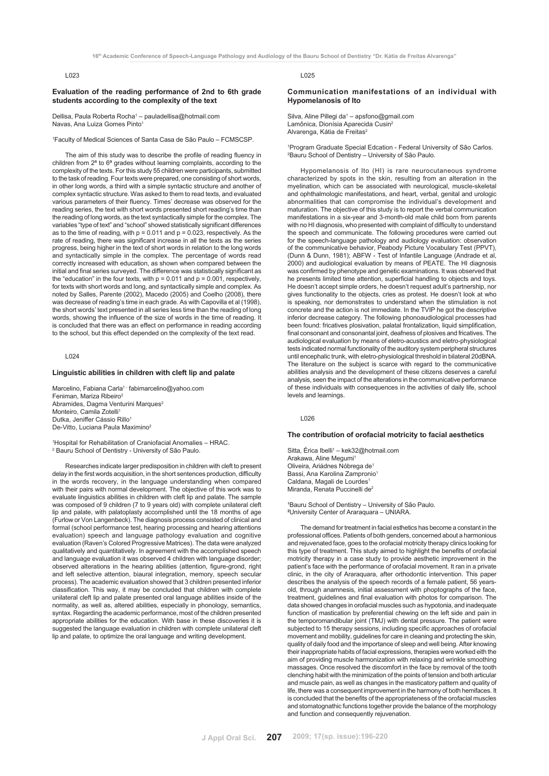#### **Evaluation of the reading performance of 2nd to 6th grade students according to the complexity of the text**

Dellisa, Paula Roberta Rocha<sup>1</sup> – pauladellisa@hotmail.com Navas, Ana Luiza Gomes Pinto1

1 Faculty of Medical Sciences of Santa Casa de São Paulo – FCMSCSP.

The aim of this study was to describe the profile of reading fluency in children from 2ª to 6ª grades without learning complaints, according to the complexity of the texts. For this study 55 children were participants, submitted to the task of reading. Four texts were prepared, one consisting of short words, in other long words, a third with a simple syntactic structure and another of complex syntactic structure. Was asked to them to read texts, and evaluated various parameters of their fluency. Times' decrease was observed for the reading series, the text with short words presented short reading's time than the reading of long words, as the text syntactically simple for the complex. The variables "type of text" and "school" showed statistically significant differences as to the time of reading, with  $p = 0.011$  and  $p = 0.023$ , respectively. As the rate of reading, there was significant increase in all the texts as the series progress, being higher in the text of short words in relation to the long words and syntactically simple in the complex. The percentage of words read correctly increased with education, as shown when compared between the initial and final series surveyed. The difference was statistically significant as the "education" in the four texts, with  $p = 0.011$  and  $p = 0.001$ , respectively, for texts with short words and long, and syntactically simple and complex. As noted by Salles, Parente (2002), Macedo (2005) and Coelho (2008), there was decrease of reading's time in each grade. As with Capovilla et al (1998), the short words' text presented in all series less time than the reading of long words, showing the influence of the size of words in the time of reading. It is concluded that there was an effect on performance in reading according to the school, but this effect depended on the complexity of the text read.

L024

## **Linguistic abilities in children with cleft lip and palate**

Marcelino, Fabiana Carla<sup>1 -</sup> fabimarcelino@yahoo.com Feniman, Mariza Ribeiro<sup>2</sup> Abramides, Dagma Venturini Marques<sup>2</sup> Monteiro, Camila Zotelli<sup>1</sup> Dutka, Jeniffer Cássio Rillo<sup>1</sup> De-Vitto, Luciana Paula Maximino<sup>2</sup>

1 Hospital for Rehabilitation of Craniofacial Anomalies – HRAC. 2 Bauru School of Dentistry - University of São Paulo.

Researches indicate larger predisposition in children with cleft to present delay in the first words acquisition, in the short sentences production, difficulty in the words recovery, in the language understanding when compared with their pairs with normal development. The objective of this work was to evaluate linguistics abilities in children with cleft lip and palate. The sample was composed of 9 children (7 to 9 years old) with complete unilateral cleft lip and palate, with palatoplasty accomplished until the 18 months of age (Furlow or Von Langenbeck). The diagnosis process consisted of clinical and formal (school performance test, hearing processing and hearing attentions evaluation) speech and language pathology evaluation and cognitive evaluation (Raven's Colored Progressive Matrices). The data were analyzed qualitatively and quantitatively. In agreement with the accomplished speech and language evaluation it was observed 4 children with language disorder; observed alterations in the hearing abilities (attention, figure-grond, right and left selective attention, biaural integration, memory, speech secular process). The academic evaluation showed that 3 children presented inferior classification. This way, it may be concluded that children with complete unilateral cleft lip and palate presented oral language abilities inside of the normality, as well as, altered abilities, especially in phonology, semantics, syntax. Regarding the academic performance, most of the children presented appropriate abilities for the education. With base in these discoveries it is suggested the language evaluation in children with complete unilateral cleft lip and palate, to optimize the oral language and writing development.

L025

## **Communication manifestations of an individual with Hypomelanosis of Ito**

Silva, Aline Pillegi da<sup>1</sup> - apsfono@gmail.com Lamônica, Dionísia Aparecida Cusin2 Alvarenga, Kátia de Freitas<sup>2</sup>

1 Program Graduate Special Edcation - Federal University of São Carlos. 2 Bauru School of Dentistry – University of São Paulo.

Hypomelanosis of Ito (HI) is rare neurocutaneous syndrome characterized by spots in the skin, resulting from an alteration in the myelination, which can be associated with neurological, muscle-skeletal and ophthalmologic manifestations, and heart, verbal, genital and urologic abnormalities that can compromise the individual's development and maturation. The objective of this study is to report the verbal communication manifestations in a six-year and 3-month-old male child born from parents with no HI diagnosis, who presented with complaint of difficulty to understand the speech and communicate. The following procedures were carried out for the speech-language pathology and audiology evaluation: observation of the communicative behavior, Peabody Picture Vocabulary Test (PPVT), (Dunn & Dunn, 1981); ABFW - Test of Infantile Language (Andrade et al, 2000) and audiological evaluation by means of PEATE. The HI diagnosis was confirmed by phenotype and genetic examinations. It was observed that he presents limited time attention, superficial handling to objects and toys. He doesn't accept simple orders, he doesn't request adult's partnership, nor gives functionality to the objects, cries as protest. He doesn't look at who is speaking, nor demonstrates to understand when the stimulation is not concrete and the action is not immediate. In the TVIP he got the descriptive inferior decrease category. The following phonoaudiological processes had been found: fricatives plosivation, palatal frontalization, liquid simplification, final consonant and consonantal joint, deafness of plosives and fricatives. The audiological evaluation by means of eletro-acustics and eletro-physiological tests indicated normal functionality of the auditory system peripheral structures until encephalic trunk, with eletro-physiological threshold in bilateral 20dBNA. The literature on the subject is scarce with regard to the communicative abilities analysis and the development of these citizens deserves a careful analysis, seen the impact of the alterations in the communicative performance of these individuals with consequences in the activities of daily life, school levels and learnings.

L026

#### **The contribution of orofacial motricity to facial aesthetics**

Sitta, Érica Ibelli<sup>1</sup> – kek32@hotmail.com Arakawa, Aline Megumi<sup>1</sup> Oliveira, Ariádnes Nóbrega de1 Bassi, Ana Karolina Zampronio1 Caldana, Magali de Lourdes<sup>1</sup> Miranda, Renata Puccinelli de<sup>2</sup>

<sup>1</sup>Bauru School of Dentistry - University of São Paulo. **2** University Center of Araraquara – UNIARA.

The demand for treatment in facial esthetics has become a constant in the professional offices. Patients of both genders, concerned about a harmonious and rejuvenated face, goes to the orofacial motricity therapy clinics looking for this type of treatment. This study aimed to highlight the benefits of orofacial motricity therapy in a case study to provide aesthetic improvement in the patient's face with the performance of orofacial movement. It ran in a private clinic, in the city of Araraquara, after orthodontic intervention. This paper describes the analysis of the speech records of a female patient, 56 yearsold, through anamnesis, initial assessment with phoptographs of the face, treatment, guidelines and final evaluation with photos for comparison. The data showed changes in orofacial muscles such as hypotonia, and inadequate function of mastication by preferential chewing on the left side and pain in the temporomandibular joint (TMJ) with dental pressure. The patient were subjected to 15 therapy sessions, including specific approaches of orofacial movement and mobility, guidelines for care in cleaning and protecting the skin, quality of daily food and the importance of sleep and well being. After knowing their inappropriate habits of facial expressions, therapies were worked eith the aim of providing muscle harmonization with relaxing and wrinkle smoothing massages. Once resolved the discomfort in the face by removal of the tooth clenching habit with the minimization of the points of tension and both articular and muscle pain, as well as changes in the masticatory pattern and quality of life, there was a consequent improvement in the harmony of both hemifaces. It is concluded that the benefits of the appropriateness of the orofacial muscles and stomatognathic functions together provide the balance of the morphology and function and consequently rejuvenation.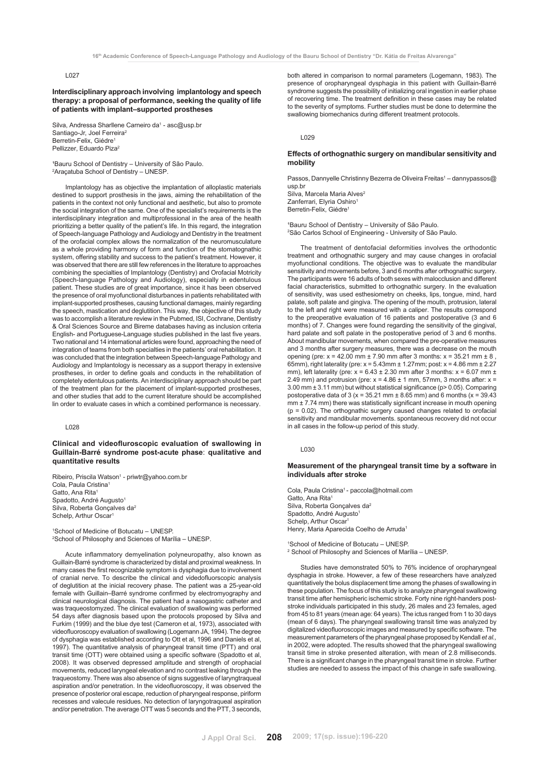**Interdisciplinary approach involving implantology and speech therapy: a proposal of performance, seeking the quality of life of patients with implant–supported prostheses**

Silva, Andressa Sharllene Carneiro da<sup>1</sup> - asc@usp.br Santiago-Jr, Joel Ferreira<sup>2</sup> Berretin-Felix, Giédre Pellizzer, Eduardo Piza2

<sup>1</sup>Bauru School of Dentistry – University of São Paulo. 2 Araçatuba School of Dentistry – UNESP.

Implantology has as objective the implantation of alloplastic materials destined to support prosthesis in the jaws, aiming the rehabilitation of the patients in the context not only functional and aesthetic, but also to promote the social integration of the same. One of the specialist's requirements is the interdisciplinary integration and multiprofessional in the area of the health prioritizing a better quality of the patient's life. In this regard, the integration of Speech-language Pathology and Audiology and Dentistry in the treatment of the orofacial complex allows the normalization of the neuromusculature as a whole providing harmony of form and function of the stomatognathic system, offering stability and success to the patient's treatment. However, it was observed that there are still few references in the literature to approaches combining the specialties of Implantology (Dentistry) and Orofacial Motricity (Speech-language Pathology and Audiology), especially in edentulous patient. These studies are of great importance, since it has been observed the presence of oral myofunctional disturbances in patients rehabilitated with implant-supported prostheses, causing functional damages, mainly regarding the speech, mastication and deglutition. This way, the objective of this study was to accomplish a literature review in the Pubmed, ISI, Cochrane, Dentistry & Oral Sciences Source and Bireme databases having as inclusion criteria English- and Portuguese-Language studies published in the last five years. Two national and 14 international articles were found, approaching the need of integration of teams from both specialties in the patients' oral rehabilitation. It was concluded that the integration between Speech-language Pathology and Audiology and Implantology is necessary as a support therapy in extensive prostheses, in order to define goals and conducts in the rehabilitation of completely edentulous patients. An interdisciplinary approach should be part of the treatment plan for the placement of implant-supported prostheses, and other studies that add to the current literature should be accomplished lin order to evaluate cases in which a combined performance is necessary.

# L028

**Clinical and videofluroscopic evaluation of swallowing in Guillain-Barré syndrome post-acute phase**: **qualitative and quantitative results**

Ribeiro, Priscila Watson<sup>1</sup> - priwtr@yahoo.com.br Cola, Paula Cristina1 Gatto, Ana Rita1 Spadotto, André Augusto<sup>1</sup> Silva, Roberta Gonçalves da<sup>2</sup> Schelp, Arthur Oscar<sup>1</sup>

1 School of Medicine of Botucatu – UNESP. 2 School of Philosophy and Sciences of Marília – UNESP.

Acute inflammatory demyelination polyneuropathy, also known as Guillain-Barré syndrome is characterized by distal and proximal weakness. In many cases the first recognizable symptom is dysphagia due to involvement of cranial nerve. To describe the clinical and videdofluorscopic analysis of deglutition at the inicial recovery phase. The patient was a 25-year-old female with Guillain–Barré syndrome confirmed by electromyography and clinical neurological diagnosis. The patient had a nasogastric catheter and was traqueostomyzed. The clinical evaluation of swallowing was performed 54 days after diagnosis based upon the protocols proposed by Silva and Furkim (1999) and the blue dye test (Cameron et al, 1973), associated with videofluoroscopy evaluation of swallowing (Logemann JA, 1994). The degree of dysphagia was established according to Ott et al, 1996 and Daniels et al, 1997). The quantitative analysis of pharyngeal transit time (PTT) and oral transit time (OTT) were obtained using a specific software (Spadotto et al, 2008). It was observed depressed amplitude and strength of orophacial movements, reduced laryngeal elevation and no contrast leaking through the traqueostomy. There was also absence of signs suggestive of laryngtraqueal aspiration and/or penetration. In the videofluoroscopy, it was observed the presence of posterior oral escape, reduction of pharyngeal response, piriform recesses and valecule residues. No detection of laryngotraqueal aspiration and/or penetration. The average OTT was 5 seconds and the PTT, 3 seconds,

both altered in comparison to normal parameters (Logemann, 1983). The presence of oropharyngeal dysphagia in this patient with Guillain-Barré syndrome suggests the possibility of initializing oral ingestion in earlier phase of recovering time. The treatment definition in these cases may be related to the severity of symptoms. Further studies must be done to determine the swallowing biomechanics during different treatment protocols.

## L029

# **Effects of orthognathic surgery on mandibular sensitivity and mobility**

Passos, Dannyelle Christinny Bezerra de Oliveira Freitas<sup>1</sup> - dannypassos@ usp.br

Silva, Marcela Maria Alves<sup>2</sup> Zanferrari, Elyria Oshiro<sup>1</sup> Berretin-Felix, Giédre<sup>1</sup>

'Bauru School of Dentistry - University of São Paulo. 2 São Carlos School of Engineering - University of São Paulo.

The treatment of dentofacial deformities involves the orthodontic treatment and orthognathic surgery and may cause changes in orofacial myofunctional conditions. The objective was to evaluate the mandibular sensitivity and movements before, 3 and 6 months after orthognathic surgery. The participants were 16 adults of both sexes with malocclusion and different facial characteristics, submitted to orthognathic surgery. In the evaluation of sensitivity, was used esthesiometry on cheeks, lips, tongue, mind, hard palate, soft palate and gingiva. The opening of the mouth, protrusion, lateral to the left and right were measured with a caliper. The results correspond to the preoperative evaluation of 16 patients and postoperative (3 and 6 months) of 7. Changes were found regarding the sensitivity of the gingival, hard palate and soft palate in the postoperative period of 3 and 6 months. About mandibular movements, when compared the pre-operative measures and 3 months after surgery measures, there was a decrease on the mouth opening (pre:  $x = 42.00$  mm  $\pm 7.90$  mm after 3 months:  $x = 35.21$  mm  $\pm 8$ , 65mm), right laterality (pre: x = 5.43mm ± 1.27mm; post: x = 4.86 mm ± 2.27 mm), left laterality (pre:  $x = 6.43 \pm 2.30$  mm after 3 months:  $x = 6.07$  mm  $\pm$ 2.49 mm) and protrusion (pre:  $x = 4.86 \pm 1$  mm, 57mm, 3 months after:  $x =$ 3.00 mm ± 3.11 mm) but without statistical significance (p> 0.05). Comparing postoperative data of 3 ( $x = 35.21$  mm  $\pm 8.65$  mm) and 6 months ( $x = 39.43$ mm ± 7.74 mm) there was statistically significant increase in mouth opening (p = 0.02). The orthognathic surgery caused changes related to orofacial sensitivity and mandibular movements. spontaneous recovery did not occur in all cases in the follow-up period of this study.

# L030

## **Measurement of the pharyngeal transit time by a software in individuals after stroke**

Cola, Paula Cristina1 - paccola@hotmail.com Gatto, Ana Rita<sup>1</sup> Silva, Roberta Gonçalves da<sup>2</sup> Spadotto, André Augusto<sup>1</sup> Schelp, Arthur Oscar<sup>1</sup> Henry, Maria Aparecida Coelho de Arruda1

1 School of Medicine of Botucatu – UNESP. 2 School of Philosophy and Sciences of Marília – UNESP.

Studies have demonstrated 50% to 76% incidence of oropharyngeal dysphagia in stroke. However, a few of these researchers have analyzed quantitatively the bolus displacement time among the phases of swallowing in these population. The focus of this study is to analyze pharyngeal swallowing transit time after hemispheric ischemic stroke. Forty nine right-handers poststroke individuals participated in this study, 26 males and 23 females, aged from 45 to 81 years (mean age: 64 years). The ictus ranged from 1 to 30 days (mean of 6 days). The pharyngeal swallowing transit time was analyzed by digitalized videofluoroscopic images and measured by specific software. The measurement parameters of the pharyngeal phase proposed by Kendall *et al.,* in 2002, were adopted. The results showed that the pharyngeal swallowing transit time in stroke presented alteration, with mean of 2.8 milliseconds. There is a significant change in the pharyngeal transit time in stroke. Further studies are needed to assess the impact of this change in safe swallowing.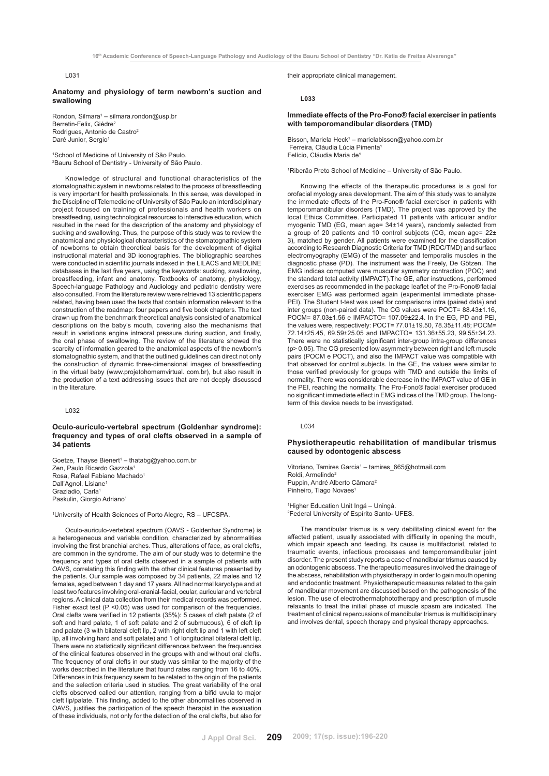#### **Anatomy and physiology of term newborn's suction and swallowing**

Rondon, Silmara<sup>1</sup> – silmara.rondon@usp.br Berretin-Felix, Giédre<sup>2</sup> Rodrigues, Antonio de Castro<sup>2</sup> Daré Junior, Sergio<sup>1</sup>

1 School of Medicine of University of São Paulo. 2 Bauru School of Dentistry - University of São Paulo.

Knowledge of structural and functional characteristics of the stomatognathic system in newborns related to the process of breastfeeding is very important for health professionals. In this sense, was developed in the Discipline of Telemedicine of University of São Paulo an interdisciplinary project focused on training of professionals and health workers on breastfeeding, using technological resources to interactive education, which resulted in the need for the description of the anatomy and physiology of sucking and swallowing. Thus, the purpose of this study was to review the anatomical and physiological characteristics of the stomatognathic system of newborns to obtain theoretical basis for the development of digital instructional material and 3D iconographies. The bibliographic searches were conducted in scientific journals indexed in the LILACS and MEDLINE databases in the last five years, using the keywords: sucking, swallowing, breastfeeding, infant and anatomy. Textbooks of anatomy, physiology, Speech-language Pathology and Audiology and pediatric dentistry were also consulted. From the literature review were retrieved 13 scientific papers related, having been used the texts that contain information relevant to the construction of the roadmap: four papers and five book chapters. The text drawn up from the benchmark theoretical analysis consisted of anatomical descriptions on the baby's mouth, covering also the mechanisms that result in variations engine intraoral pressure during suction, and finally, the oral phase of swallowing. The review of the literature showed the scarcity of information geared to the anatomical aspects of the newborn's stomatognathic system, and that the outlined guidelines can direct not only the construction of dynamic three-dimensional images of breastfeeding in the virtual baby (www.projetohomemvirtual. com.br), but also result in the production of a text addressing issues that are not deeply discussed in the literature.

# L032

# **Oculo-auriculo-vertebral spectrum (Goldenhar syndrome): frequency and types of oral clefts observed in a sample of 34 patients**

Goetze, Thayse Bienert1 – thatabg@yahoo.com.br Zen, Paulo Ricardo Gazzola<sup>1</sup> Rosa, Rafael Fabiano Machado1 Dall'Agnol, Lisiane<sup>1</sup> Graziadio, Carla<sup>1</sup> Paskulin, Giorgio Adriano<sup>1</sup>

1 University of Health Sciences of Porto Alegre, RS – UFCSPA.

Oculo-auriculo-vertebral spectrum (OAVS - Goldenhar Syndrome) is a heterogeneous and variable condition, characterized by abnormalities involving the first branchial arches. Thus, alterations of face, as oral clefts, are common in the syndrome. The aim of our study was to determine the frequency and types of oral clefts observed in a sample of patients with OAVS, correlating this finding with the other clinical features presented by the patients. Our sample was composed by 34 patients, 22 males and 12 females, aged between 1 day and 17 years. All had normal karyotype and at least two features involving oral-cranial-facial, ocular, auricular and vertebral regions. A clinical data collection from their medical records was performed. Fisher exact test (P < 0.05) was used for comparison of the frequencies. Oral clefts were verified in 12 patients (35%): 5 cases of cleft palate (2 of soft and hard palate, 1 of soft palate and 2 of submucous), 6 of cleft lip and palate (3 with bilateral cleft lip, 2 with right cleft lip and 1 with left cleft lip, all involving hard and soft palate) and 1 of longitudinal bilateral cleft lip. There were no statistically significant differences between the frequencies of the clinical features observed in the groups with and without oral clefts. The frequency of oral clefts in our study was similar to the majority of the works described in the literature that found rates ranging from 16 to 40%. Differences in this frequency seem to be related to the origin of the patients and the selection criteria used in studies. The great variability of the oral clefts observed called our attention, ranging from a bifid uvula to major cleft lip/palate. This finding, added to the other abnormalities observed in OAVS, justifies the participation of the speech therapist in the evaluation of these individuals, not only for the detection of the oral clefts, but also for

their appropriate clinical management.

**L033**

# **Immediate effects of the Pro-Fono® facial exerciser in patients with temporomandibular disorders (TMD)**

Bisson, Mariela Heck<sup>1</sup> – marielabisson@yahoo.com.br Ferreira, Cláudia Lúcia Pimenta<sup>1</sup> Felício, Cláudia Maria de

<sup>1</sup>Riberão Preto School of Medicine – University of São Paulo.

Knowing the effects of the therapeutic procedures is a goal for orofacial myology area development. The aim of this study was to analyze the immediate effects of the Pro-Fono® facial exerciser in patients with temporomandibular disorders (TMD). The project was approved by the local Ethics Committee. Participated 11 patients with articular and/or myogenic TMD (EG, mean age= 34±14 years), randomly selected from a group of 20 patients and 10 control subjects (CG, mean age= 22± 3), matched by gender. All patients were examined for the classification according to Research Diagnostic Criteria for TMD (RDC/TMD) and surface electromyography (EMG) of the masseter and temporalis muscles in the diagnostic phase (PD). The instrument was the Freely, De Götzen. The EMG indices computed were muscular symmetry contraction (POC) and the standard total activity (IMPACT).The GE, after instructions, performed exercises as recommended in the package leaflet of the Pro-Fono® facial exerciser EMG was performed again (experimental immediate phase-PEI). The Student t-test was used for comparisons intra (paired data) and inter groups (non-paired data). The CG values were POCT= 88.43±1.16, POCM= 87.03±1.56 e IMPACTO= 107.09±22.4. In the EG, PD and PEI, the values were, respectively: POCT= 77.01±19.50, 78.35±11.48; POCM= 72.14±25.45, 69.59±25.05 and IMPACTO= 131.36±55.23, 99.55±34.23. There were no statistically significant inter-group intra-group differences (p> 0.05). The CG presented low asymmetry between right and left muscle pairs (POCM e POCT), and also the IMPACT value was compatible with that observed for control subjects. In the GE, the values were similar to those verified previously for groups with TMD and outside the limits of normality. There was considerable decrease in the IMPACT value of GE in the PEI, reaching the normality. The Pro-Fono® facial exerciser produced no significant immediate effect in EMG indices of the TMD group. The longterm of this device needs to be investigated.

#### L034

# **Physiotherapeutic rehabilitation of mandibular trismus caused by odontogenic abscess**

Vitoriano, Tamires Garcia<sup>1</sup> - tamires\_665@hotmail.com Roldi, Armelindo<sup>2</sup> Puppin, André Alberto Câmara2 Pinheiro, Tiago Novaes<sup>1</sup>

1 Higher Education Unit Ingá – Uningá. 2 Federal University of Espírito Santo- UFES.

The mandibular trismus is a very debilitating clinical event for the affected patient, usually associated with difficulty in opening the mouth, which impair speech and feeding. Its cause is multifactorial, related to traumatic events, infectious processes and temporomandibular joint disorder. The present study reports a case of mandibular trismus caused by an odontogenic abscess. The therapeutic measures involved the drainage of the abscess, rehabilitation with physiotherapy in order to gain mouth opening and endodontic treatment. Physiotherapeutic measures related to the gain of mandibular movement are discussed based on the pathogenesis of the lesion. The use of electrothermalphototherapy and prescription of muscle relaxants to treat the initial phase of muscle spasm are indicated. The treatment of clinical repercussions of mandibular trismus is multidisciplinary and involves dental, speech therapy and physical therapy approaches.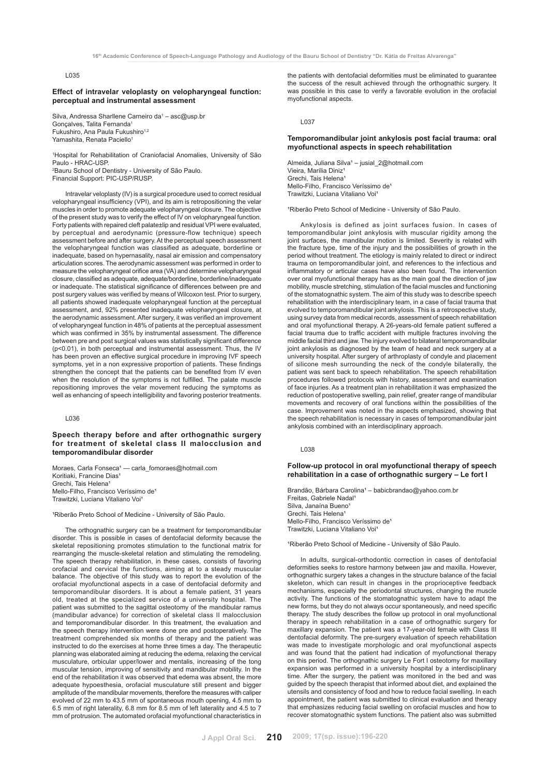#### **Effect of intravelar veloplasty on velopharyngeal function: perceptual and instrumental assessment**

Silva, Andressa Sharllene Carneiro da<sup>1</sup> – asc@usp.br Gonçalves, Talita Fernanda1 Fukushiro, Ana Paula Fukushiro<sup>1,2</sup> Yamashita, Renata Paciello<sup>1</sup>

1 Hospital for Rehabilitation of Craniofacial Anomalies, University of São Paulo - HRAC-USP. 2 Bauru School of Dentistry - University of São Paulo.

Financial Support: PIC-USP/RUSP.

Intravelar veloplasty (IV) is a surgical procedure used to correct residual velopharyngeal insufficiency (VPI), and its aim is retropositioning the velar muscles in order to promote adequate velopharyngeal closure. The objective of the present study was to verify the effect of IV on velopharyngeal function. Forty patients with repaired cleft palate±lip and residual VPI were evaluated, by perceptual and aerodynamic (pressure-flow technique) speech assessment before and after surgery. At the perceptual speech assessment the velopharyngeal function was classified as adequate, borderline or inadequate, based on hypernasality, nasal air emission and compensatory articulation scores. The aerodynamic assessment was performed in order to measure the velopharyngeal orifice area (VA) and determine velopharyngeal closure, classified as adequate, adequate/borderline, borderline/inadequate or inadequate. The statistical significance of differences between pre and post surgery values was verified by means of Wilcoxon test. Prior to surgery, all patients showed inadequate velopharyngeal function at the perceptual assessment, and, 92% presented inadequate velopharyngeal closure, at the aerodynamic assessment. After surgery, it was verified an improvement of velopharyngeal function in 48% of patients at the perceptual assessment which was confirmed in 35% by instrumental assessment. The difference between pre and post surgical values was statistically significant difference (p<0.01), in both perceptual and instrumental assessment. Thus, the IV has been proven an effective surgical procedure in improving IVF speech symptoms, yet in a non expressive proportion of patients. These findings strengthen the concept that the patients can be benefited from IV even when the resolution of the symptoms is not fulfilled. The palate muscle repositioning improves the velar movement reducing the symptoms as well as enhancing of speech intelligibility and favoring posterior treatments.

L036

# **Speech therapy before and after orthognathic surgery for treatment of skeletal class II malocclusion and temporomandibular disorder**

Moraes, Carla Fonseca<sup>1</sup> — carla\_fomoraes@hotmail.com Koritiaki, Francine Dias<sup>1</sup> Grechi, Tais Helena<sup>1</sup> Mello-Filho, Francisco Veríssimo de<sup>1</sup> Trawitzki, Luciana Vitaliano Voi

<sup>1</sup>Riberão Preto School of Medicine - University of São Paulo.

The orthognathic surgery can be a treatment for temporomandibular disorder. This is possible in cases of dentofacial deformity because the skeletal repositioning promotes stimulation to the functional matrix for rearranging the muscle-skeletal relation and stimulating the remodeling. The speech therapy rehabilitation, in these cases, consists of favoring orofacial and cervical the functions, aiming at to a steady muscular balance. The objective of this study was to report the evolution of the orofacial myofunctional aspects in a case of dentofacial deformity and temporomandibular disorders. It is about a female patient, 31 years old, treated at the specialized service of a university hospital. The patient was submitted to the sagittal osteotomy of the mandibular ramus (mandibular advance) for correction of skeletal class II malocclusion and temporomandibular disorder. In this treatment, the evaluation and the speech therapy intervention were done pre and postoperatively. The treatment comprehended six months of therapy and the patient was instructed to do the exercises at home three times a day. The therapeutic planning was elaborated aiming at reducing the edema, relaxing the cervical musculature, orbicular upper/lower and mentalis, increasing of the tong muscular tension, improving of sensitivity and mandibular mobility. In the end of the rehabilitation it was observed that edema was absent, the more adequate hypoesthesia, orofacial musculature still present and bigger amplitude of the mandibular movements, therefore the measures with caliper evolved of 22 mm to 43.5 mm of spontaneous mouth opening, 4.5 mm to 6.5 mm of right laterality, 6.8 mm for 8.5 mm of left laterality and 4.5 to 7 mm of protrusion. The automated orofacial myofunctional characteristics in the patients with dentofacial deformities must be eliminated to guarantee the success of the result achieved through the orthognathic surgery. It was possible in this case to verify a favorable evolution in the orofacial myofunctional aspects.

L037

# **Temporomandibular joint ankylosis post facial trauma: oral myofunctional aspects in speech rehabilitation**

Almeida, Juliana Silva<sup>1</sup> – jusial\_2@hotmail.com Vieira, Marília Diniz<sup>1</sup> Grechi, Tais Helena<sup>1</sup> Mello-Filho, Francisco Veríssimo de<sup>1</sup> Trawitzki, Luciana Vitaliano Voi<sup>1</sup>

<sup>1</sup>Riberão Preto School of Medicine - University of São Paulo.

Ankylosis is defined as joint surfaces fusion. In cases of temporomandibular joint ankylosis with muscular rigidity among the joint surfaces, the mandibular motion is limited. Severity is related with the fracture type, time of the injury and the possibilities of growth in the period without treatment. The etiology is mainly related to direct or indirect trauma on temporomandibular joint, and references to the infectious and inflammatory or articular cases have also been found. The intervention over oral myofunctional therapy has as the main goal the direction of jaw mobility, muscle stretching, stimulation of the facial muscles and functioning of the stomatognathic system. The aim of this study was to describe speech rehabilitation with the interdisciplinary team, in a case of facial trauma that evolved to temporomandibular joint ankylosis. This is a retrospective study, using survey data from medical records, assessment of speech rehabilitation and oral myofunctional therapy. A 26-years-old female patient suffered a facial trauma due to traffic accident with multiple fractures involving the middle facial third and jaw. The injury evolved to bilateral temporomandibular joint ankylosis as diagnosed by the team of head and neck surgery at a university hospital. After surgery of arthroplasty of condyle and placement of silicone mesh surrounding the neck of the condyle bilaterally, the patient was sent back to speech rehabilitation. The speech rehabilitation procedures followed protocols with history, assessment and examination of face injuries. As a treatment plan in rehabilitation it was emphasized the reduction of postoperative swelling, pain relief, greater range of mandibular movements and recovery of oral functions within the possibilities of the case. Improvement was noted in the aspects emphasized, showing that the speech rehabilitation is necessary in cases of temporomandibular joint ankylosis combined with an interdisciplinary approach.

L038

# **Follow-up protocol in oral myofunctional therapy of speech rehabilitation in a case of orthognathic surgery – Le fort I**

Brandão, Bárbara Carolina<sup>1</sup> – babicbrandao@yahoo.com.br Freitas, Gabriele Nadal<sup>1</sup> Silva, Janaína Bueno<sup>1</sup> Grechi, Tais Helena<sup>1</sup> Mello-Filho, Francisco Veríssimo de<sup>1</sup> Trawitzki, Luciana Vitaliano Voi<sup>1</sup>

<sup>1</sup>Riberão Preto School of Medicine - University of São Paulo.

In adults, surgical-orthodontic correction in cases of dentofacial deformities seeks to restore harmony between jaw and maxilla. However, orthognathic surgery takes a changes in the structure balance of the facial skeleton, which can result in changes in the proprioceptive feedback mechanisms, especially the periodontal structures, changing the muscle activity. The functions of the stomatognathic system have to adapt the new forms, but they do not always occur spontaneously, and need specific therapy. The study describes the follow up protocol in oral myofunctional therapy in speech rehabilitation in a case of orthognathic surgery for maxillary expansion. The patient was a 17-year-old female with Class III dentofacial deformity. The pre-surgery evaluation of speech rehabilitation was made to investigate morphologic and oral myofunctional aspects and was found that the patient had indication of myofunctional therapy on this period. The orthognathic surgery Le Fort I osteotomy for maxillary expansion was performed in a university hospital by a interdisciplinary time. After the surgery, the patient was monitored in the bed and was guided by the speech therapist that informed about diet, and explained the utensils and consistency of food and how to reduce facial swelling. In each appointment, the patient was submitted to clinical evaluation and therapy that emphasizes reducing facial swelling on orofacial muscles and how to recover stomatognathic system functions. The patient also was submitted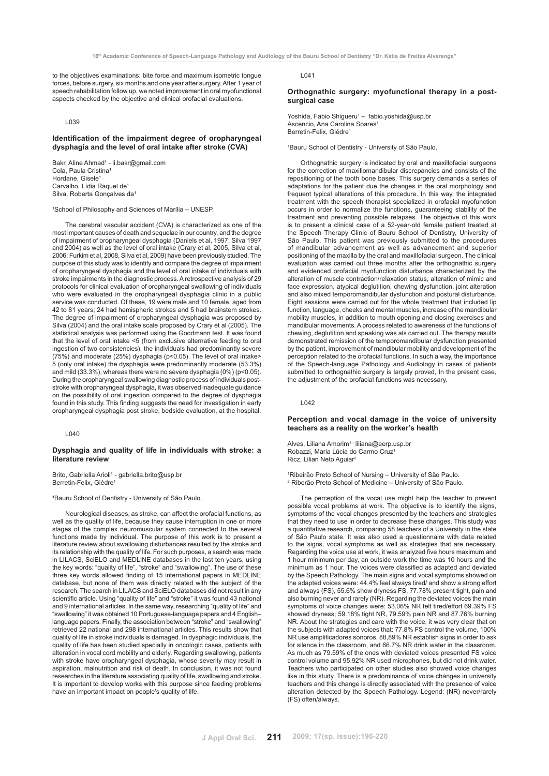to the objectives examinations: bite force and maximum isometric tongue forces, before surgery, six months and one year after surgery. After 1 year of speech rehabilitation follow up, we noted improvement in oral myofunctional aspects checked by the objective and clinical orofacial evaluations.

#### L039

# **Identification of the impairment degree of oropharyngeal dysphagia and the level of oral intake after stroke (CVA)**

Bakr, Aline Ahmad<sup>1</sup> - li.bakr@gmail.com Cola, Paula Cristina<sup>1</sup> Hordane, Gisele<sup>1</sup> Carvalho, Lídia Raquel de<sup>1</sup> Silva, Roberta Gonçalves da<sup>1</sup>

1 School of Philosophy and Sciences of Marília – UNESP.

The cerebral vascular accident (CVA) is characterized as one of the most important causes of death and sequelae in our country, and the degree of impairment of oropharyngeal dysphagia (Daniels et al, 1997; Silva 1997 and 2004) as well as the level of oral intake (Crary et al, 2005, Silva et al, 2006; Furkim et al, 2008, Silva et al, 2009) have been previously studied. The purpose of this study was to identify and compare the degree of impairment of oropharyngeal dysphagia and the level of oral intake of individuals with stroke impairments in the diagnostic process. A retrospective analysis of 29 protocols for clinical evaluation of oropharyngeal swallowing of individuals who were evaluated in the oropharyngeal dysphagia clinic in a public service was conducted. Of these, 19 were male and 10 female, aged from 42 to 81 years; 24 had hemispheric strokes and 5 had brainstem strokes. The degree of impairment of oropharyngeal dysphagia was proposed by Silva (2004) and the oral intake scale proposed by Crary et al (2005). The statistical analysis was performed using the Goodmann test. It was found that the level of oral intake <5 (from exclusive alternative feeding to oral ingestion of two consistencies), the individuals had predominantly severe (75%) and moderate (25%) dysphagia (p<0.05). The level of oral intake> 5 (only oral intake) the dysphagia were predominantly moderate (53.3%) and mild (33.3%), whereas there were no severe dysphagia (0%) (p<0.05). During the oropharyngeal swallowing diagnostic process of individuals poststroke with oropharyngeal dysphagia, it was observed inadequate guidance on the possibility of oral ingestion compared to the degree of dysphagia found in this study. This finding suggests the need for investigation in early oropharyngeal dysphagia post stroke, bedside evaluation, at the hospital.

 $L_{040}$ 

# **Dysphagia and quality of life in individuals with stroke: a literature review**

Brito, Gabriella Arioli<sup>1</sup> - gabriella.brito@usp.br Berretin-Felix, Giédre<sup>1</sup>

<sup>1</sup>Bauru School of Dentistry - University of São Paulo.

Neurological diseases, as stroke, can affect the orofacial functions, as well as the quality of life, because they cause interruption in one or more stages of the complex neuromuscular system connected to the several functions made by individual. The purpose of this work is to present a literature review about swallowing disturbances resulted by the stroke and its relationship with the quality of life. For such purposes, a search was made in LILACS, SciELO and MEDLINE databases in the last ten years, using the key words: "quality of life", "stroke" and "swallowing". The use of these three key words allowed finding of 15 international papers in MEDLINE database, but none of them was directly related with the subject of the research. The search in LILACS and SciELO databases did not result in any scientific article. Using "quality of life" and "stroke" it was found 43 national and 9 international articles. In the same way, researching "quality of life" and "swallowing" it was obtained 10 Portuguese-language papers and 4 English– language papers. Finally, the association between "stroke" and "swallowing" retrieved 22 national and 298 international articles. This results show that quality of life in stroke individuals is damaged. In dysphagic individuals, the quality of life has been studied specially in oncologic cases, patients with alteration in vocal cord mobility and elderly. Regarding swallowing, patients with stroke have oropharyngeal dysphagia, whose severity may result in aspiration, malnutrition and risk of death. In conclusion, it was not found researches in the literature associating quality of life, swallowing and stroke. It is important to develop works with this purpose since feeding problems have an important impact on people's quality of life.

L041

## **Orthognathic surgery: myofunctional therapy in a postsurgical case**

Yoshida, Fabio Shigueru<sup>1</sup> - fabio.yoshida@usp.br Ascencio, Ana Carolina Soares<sup>1</sup> Berretin-Felix, Giédre<sup>1</sup>

1 Bauru School of Dentistry - University of São Paulo.

Orthognathic surgery is indicated by oral and maxillofacial surgeons for the correction of maxillomandibular discrepancies and consists of the repositioning of the tooth bone bases. This surgery demands a series of adaptations for the patient due the changes in the oral morphology and frequent typical alterations of this procedure. In this way, the integrated treatment with the speech therapist specialized in orofacial myofunction occurs in order to normalize the functions, guaranteeing stability of the treatment and preventing possible relapses. The objective of this work is to present a clinical case of a 52-year-old female patient treated at the Speech Therapy Clinic of Bauru School of Dentistry, University of São Paulo. This patient was previously submitted to the procedures of mandibular advancement as well as advancement and superior positioning of the maxilla by the oral and maxillofacial surgeon. The clinical evaluation was carried out three months after the orthognathic surgery and evidenced orofacial myofunction disturbance characterized by the alteration of muscle contraction/relaxation status, alteration of mimic and face expression, atypical deglutition, chewing dysfunction, joint alteration and also mixed temporomandibular dysfunction and postural disturbance. Eight sessions were carried out for the whole treatment that included lip function, language, cheeks and mental muscles, increase of the mandibular mobility muscles, in addition to mouth opening and closing exercises and mandibular movements. A process related to awareness of the functions of chewing, deglutition and speaking was als carried out. The therapy results demonstrated remission of the temporomandibular dysfunction presented by the patient, improvement of mandibular mobility and development of the perception related to the orofacial functions. In such a way, the importance of the Speech-language Pathology and Audiology in cases of patients submitted to orthognathic surgery is largely proved, In the present case, the adjustment of the orofacial functions was necessary.

 $L042$ 

# **Perception and vocal damage in the voice of university teachers as a reality on the worker's health**

Alves, Liliana Amorim<sup>1 -</sup> liliana@eerp.usp.br Robazzi, Maria Lúcia do Carmo Cruz1 Ricz, Lilian Neto Aguiar<sup>2</sup>

1 Ribeirão Preto School of Nursing – University of São Paulo. 2 Riberão Preto School of Medicine – University of São Paulo.

The perception of the vocal use might help the teacher to prevent possible vocal problems at work. The objective is to identify the signs, symptoms of the vocal changes presented by the teachers and strategies that they need to use in order to decrease these changes. This study was a quantitative research, comparing 58 teachers of a University in the state of São Paulo state. It was also used a questionnaire with data related to the signs, vocal symptoms as well as strategies that are necessary. Regarding the voice use at work, it was analyzed five hours maximum and 1 hour minimum per day, an outside work the time was 10 hours and the minimum as 1 hour. The voices were classified as adapted and deviated by the Speech Pathology. The main signs and vocal symptoms showed on the adapted voices were: 44.4% feel always tired/ and show a strong effort and always (FS), 55.6% show dryness FS, 77.78% present tight, pain and also burning never and rarely (NR). Regarding the deviated voices the main symptoms of voice changes were: 53.06% NR felt tired/effort 69.39% FS showed dryness; 59.18% tight NR, 79.59% pain NR and 87.76% burning NR. About the strategies and care with the voice, it was very clear that on the subjects with adapted voices that: 77.8% FS control the volume, 100% NR use amplificadores sonoros, 88,89% NR establish signs in order to ask for silence in the classroom, and 66.7% NR drink water in the classroom. As much as 79.59% of the ones with deviated voices presented FS voice control volume and 95.92% NR used microphones, but did not drink water. Teachers who participated on other studies also showed voice changes like in this study. There is a predominance of voice changes in university teachers and this change is directly associated with the presence of voice alteration detected by the Speech Pathology. Legend: (NR) never/rarely (FS) often/always.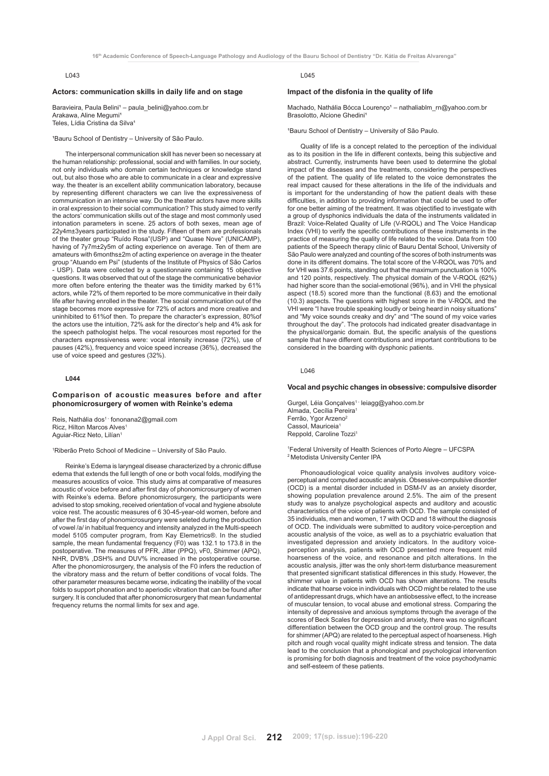# **Actors: communication skills in daily life and on stage**

Baravieira, Paula Belini<sup>1</sup> – paula\_belini@yahoo.com.br Arakawa, Aline Megumi<sup>1</sup> Teles, Lídia Cristina da Silva<sup>1</sup>

<sup>1</sup>Bauru School of Dentistry - University of São Paulo.

The interpersonal communication skill has never been so necessary at the human relationship: professional, social and with families. In our society, not only individuals who domain certain techniques or knowledge stand out, but also those who are able to communicate in a clear and expressive way. the theater is an excellent ability communication laboratory, because by representing different characters we can live the expressiveness of communication in an intensive way. Do the theater actors have more skills in oral expression to their social communication? This study aimed to verify the actors' communication skills out of the stage and most commonly used intonation parameters in scene. 25 actors of both sexes, mean age of 22y4m±3years participated in the study. Fifteen of them are professionals of the theater group "Ruído Rosa"(USP) and "Quase Nove" (UNICAMP), having of 7y7m±2y5m of acting experience on average. Ten of them are amateurs with 6months±2m of acting experience on average in the theater group "Atuando em Psi" (students of the Institute of Physics of São Carlos - USP). Data were collected by a questionnaire containing 15 objective questions. It was observed that out of the stage the communicative behavior more often before entering the theater was the timidity marked by 61% actors, while 72% of them reported to be more communicative in their daily life after having enrolled in the theater. The social communication out of the stage becomes more expressive for 72% of actors and more creative and uninhibited to 61%of then. To prepare the character's expression, 80%of the actors use the intuition, 72% ask for the director's help and 4% ask for the speech pathologist helps. The vocal resources most reported for the characters expressiveness were: vocal intensity increase (72%), use of pauses (42%), frequency and voice speed increase (36%), decreased the use of voice speed and gestures (32%).

# **L044**

#### **Comparison of acoustic measures before and after phonomicrosurgery of women with Reinke's edema**

Reis, Nathália dos<sup>1 -</sup> fononana2@gmail.com Ricz, Hilton Marcos Alves1 Aguiar-Ricz Neto, Lilían1

1 Riberão Preto School of Medicine – University of São Paulo.

Reinke's Edema is laryngeal disease characterized by a chronic diffuse edema that extends the full length of one or both vocal folds, modifying the measures acoustics of voice. This study aims at comparative of measures acoustic of voice before and after first day of phonomicrosurgery of women with Reinke's edema. Before phonomicrosurgery, the participants were advised to stop smoking, received orientation of vocal and hygiene absolute voice rest. The acoustic measures of 6 30-45-year-old women, before and after the first day of phonomicrosurgery were seleted during the production of vowel /a/ in habitual frequency and intensity analyzed in the Multi-speech model 5105 computer program, from Kay Elemetrics®. In the studied sample, the mean fundamental frequency (F0) was 132.1 to 173.8 in the postoperative. The measures of PFR, Jitter (PPQ), vF0, Shimmer (APQ), NHR, DVB% ,DSH% and DUV% increased in the postoperative course. After the phonomicrosurgery, the analysis of the F0 infers the reduction of the vibratory mass and the return of better conditions of vocal folds. The other parameter measures became worse, indicating the inability of the vocal folds to support phonation and to aperiodic vibration that can be found after surgery. It is concluded that after phonomicrosurgery that mean fundamental frequency returns the normal limits for sex and age.

## $1045$

#### **Impact of the disfonia in the quality of life**

Machado, Nathália Bócca Lourenco<sup>1</sup> – nathaliablm\_rn@yahoo.com.br Brasolotto, Alcione Ghedini<sup>1</sup>

1Bauru School of Dentistry - University of São Paulo.

Quality of life is a concept related to the perception of the individual as to its position in the life in different contexts, being this subjective and abstract. Currently, instruments have been used to determine the global impact of the diseases and the treatments, considering the perspectives of the patient. The quality of life related to the voice demonstrates the real impact caused for these alterations in the life of the individuals and is important for the understanding of how the patient deals with these difficulties, in addition to providing information that could be used to offer for one better aiming of the treatment. It was objectified to investigate with a group of dysphonics individuals the data of the instruments validated in Brazil: Voice-Related Quality of Life (V-RQOL) and The Voice Handicap Index (VHI) to verify the specific contributions of these instruments in the practice of measuring the quality of life related to the voice. Data from 100 patients of the Speech therapy clinic of Bauru Dental School, University of São Paulo were analyzed and counting of the scores of both instruments was done in its different domains. The total score of the V-RQOL was 70% and for VHI was 37.6 points, standing out that the maximum punctuation is 100% and 120 points, respectively. The physical domain of the V-RQOL (62%) had higher score than the social-emotional (96%), and in VHI the physical aspect (18.5) scored more than the functional (8.63) and the emotional (10.3) aspects. The questions with highest score in the V-RQOL and the VHI were "I have trouble speaking loudly or being heard in noisy situations" and "My voice sounds creaky and dry" and "The sound of my voice varies throughout the day". The protocols had indicated greater disadvantage in the physical/organic domain. But, the specific analysis of the questions sample that have different contributions and important contributions to be considered in the boarding with dysphonic patients.

 $1046$ 

# **Vocal and psychic changes in obsessive: compulsive disorder**

Gurgel, Léia Gonçalves<sup>1 -</sup> leiagg@yahoo.com.br Almada, Cecília Pereira<sup>1</sup> Ferrão, Ygor Arzeno<sup>2</sup> Cassol, Mauriceia<sup>1</sup> Reppold, Caroline Tozzi<sup>1</sup>

1 Federal University of Health Sciences of Porto Alegre – UFCSPA 2 Metodista University Center IPA

Phonoaudiological voice quality analysis involves auditory voiceperceptual and computed acoustic analysis. Obsessive-compulsive disorder (OCD) is a mental disorder included in DSM-IV as an anxiety disorder, showing population prevalence around 2.5%. The aim of the present study was to analyze psychological aspects and auditory and acoustic characteristics of the voice of patients with OCD. The sample consisted of 35 individuals, men and women, 17 with OCD and 18 without the diagnosis of OCD. The individuals were submitted to auditory voice-perception and acoustic analysis of the voice, as well as to a psychiatric evaluation that investigated depression and anxiety indicators. In the auditory voiceperception analysis, patients with OCD presented more frequent mild hoarseness of the voice, and resonance and pitch alterations. In the acoustic analysis, jitter was the only short-term disturbance measurement that presented significant statistical differences in this study. However, the shimmer value in patients with OCD has shown alterations. The results indicate that hoarse voice in individuals with OCD might be related to the use of antidepressant drugs, which have an antiobsessive effect, to the increase of muscular tension, to vocal abuse and emotional stress. Comparing the intensity of depressive and anxious symptoms through the average of the scores of Beck Scales for depression and anxiety, there was no significant differentiation between the OCD group and the control group. The results for shimmer (APQ) are related to the perceptual aspect of hoarseness. High pitch and rough vocal quality might indicate stress and tension. The data lead to the conclusion that a phonological and psychological intervention is promising for both diagnosis and treatment of the voice psychodynamic and self-esteem of these patients.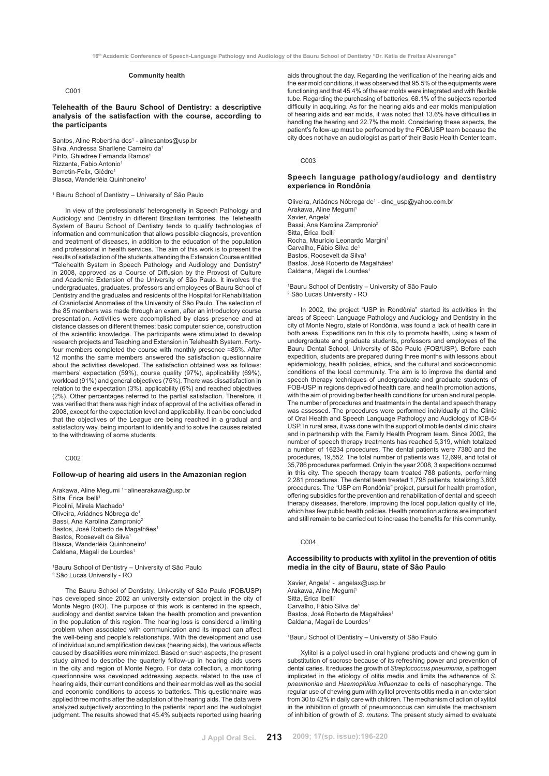# **Community health**

#### $C<sub>001</sub>$

# **Telehealth of the Bauru School of Dentistry: a descriptive analysis of the satisfaction with the course, according to the participants**

Santos, Aline Robertina dos<sup>1</sup> - alinesantos@usp.br Silva, Andressa Sharllene Carneiro da1 Pinto, Ghiedree Fernanda Ramos<sup>1</sup> Rizzante, Fabio Antonio1 Berretin-Felix, Giédre1 Blasca, Wanderléia Quinhoneiro<sup>1</sup>

#### 1 Bauru School of Dentistry – University of São Paulo

In view of the professionals' heterogeneity in Speech Pathology and Audiology and Dentistry in different Brazilian territories, the Telehealth System of Bauru School of Dentistry tends to qualify technologies of information and communication that allows possible diagnosis, prevention and treatment of diseases, in addition to the education of the population and professional in health services. The aim of this work is to present the results of satisfaction of the students attending the Extension Course entitled "Telehealth System in Speech Pathology and Audiology and Dentistry" in 2008, approved as a Course of Diffusion by the Provost of Culture and Academic Extension of the University of São Paulo. It involves the undergraduates, graduates, professors and employees of Bauru School of Dentistry and the graduates and residents of the Hospital for Rehabilitation of Craniofacial Anomalies of the University of São Paulo. The selection of the 85 members was made through an exam, after an introductory course presentation. Activities were accomplished by class presence and at distance classes on different themes: basic computer science, construction of the scientific knowledge. The participants were stimulated to develop research projects and Teaching and Extension in Telehealth System. Fortyfour members completed the course with monthly presence =85%. After 12 months the same members answered the satisfaction questionnaire about the activities developed. The satisfaction obtained was as follows: members' expectation (59%), course quality (97%), applicability (69%), workload (91%) and general objectives (75%). There was dissatisfaction in relation to the expectation (3%), applicability (6%) and reached objectives (2%). Other percentages referred to the partial satisfaction. Therefore, it was verified that there was high index of approval of the activities offered in 2008, except for the expectation level and applicability. It can be concluded that the objectives of the League are being reached in a gradual and satisfactory way, being important to identify and to solve the causes related to the withdrawing of some students.

#### C002

# **Follow-up of hearing aid users in the Amazonian region**

Arakawa, Aline Megumi 1-alinearakawa@usp.br Sitta, Érica Ibelli Picolini, Mirela Machado<sup>1</sup> Oliveira, Ariádnes Nóbrega de1 Bassi, Ana Karolina Zampronio2 Bastos, José Roberto de Magalhães<sup>1</sup> Bastos, Roosevelt da Silva1 Blasca, Wanderléia Quinhoneiro<sup>1</sup> Caldana, Magali de Lourdes<sup>1</sup>

1 Bauru School of Dentistry – University of São Paulo 2 São Lucas University - RO

The Bauru School of Dentistry, University of São Paulo (FOB/USP) has developed since 2002 an university extension project in the city of Monte Negro (RO). The purpose of this work is centered in the speech, audiology and dentist service taken the health promotion and prevention in the population of this region. The hearing loss is considered a limiting problem when associated with communication and its impact can affect the well-being and people's relationships. With the development and use of individual sound amplification devices (hearing aids), the various effects caused by disabilities were minimized. Based on such aspects, the present study aimed to describe the quarterly follow-up in hearing aids users in the city and region of Monte Negro. For data collection, a monitoring questionnaire was developed addressing aspects related to the use of hearing aids, their current conditions and their ear mold as well as the social and economic conditions to access to batteries. This questionnaire was applied three months after the adaptation of the hearing aids. The data were analyzed subjectively according to the patients' report and the audiologist judgment. The results showed that 45.4% subjects reported using hearing

aids throughout the day. Regarding the verification of the hearing aids and the ear mold conditions, it was observed that 95.5% of the equipments were functioning and that 45.4% of the ear molds were integrated and with flexible tube. Regarding the purchasing of batteries, 68.1% of the subjects reported difficulty in acquiring. As for the hearing aids and ear molds manipulation of hearing aids and ear molds, it was noted that 13.6% have difficulties in handling the hearing and 22.7% the mold. Considering these aspects, the patient's follow-up must be perfoemed by the FOB/USP team because the city does not have an audiologist as part of their Basic Health Center team.

#### $C<sub>003</sub>$

# **Speech language pathology/audiology and dentistry experience in Rondônia**

Oliveira, Ariádnes Nóbrega de<sup>1</sup> - dine\_usp@yahoo.com.br Arakawa, Aline Megumi1 Xavier, Angela<sup>1</sup> Bassi, Ana Karolina Zampronio2 Sitta, Érica Ibelli<sup>1</sup> Rocha, Maurício Leonardo Margini1 Carvalho, Fábio Silva de<sup>1</sup> Bastos, Roosevelt da Silva1 Bastos, José Roberto de Magalhães<sup>1</sup> Caldana, Magali de Lourdes<sup>1</sup>

1 Bauru School of Dentistry – University of São Paulo 2 São Lucas University - RO

In 2002, the project "USP in Rondônia" started its activities in the areas of Speech Language Pathology and Audiology and Dentistry in the city of Monte Negro, state of Rondônia, was found a lack of health care in both areas. Expeditions ran to this city to promote health, using a team of undergraduate and graduate students, professors and employees of the Bauru Dental School, University of São Paulo (FOB/USP). Before each expedition, students are prepared during three months with lessons about epidemiology, health policies, ethics, and the cultural and socioeconomic conditions of the local community. The aim is to improve the dental and speech therapy techniques of undergraduate and graduate students of FOB-USP in regions deprived of health care, and health promotion actions, with the aim of providing better health conditions for urban and rural people. The number of procedures and treatments in the dental and speech therapy was assessed. The procedures were performed individually at the Clinic of Oral Health and Speech Language Pathology and Audiology of ICB-5/ USP. In rural area, it was done with the support of mobile dental clinic chairs and in partnership with the Family Health Program team. Since 2002, the number of speech therapy treatments has reached 5,319, which totalized a number of 16234 procedures. The dental patients were 7380 and the procedures, 19,552. The total number of patients was 12,699, and total of 35,786 procedures performed. Only in the year 2008, 3 expeditions occurred in this city. The speech therapy team treated 788 patients, performing 2,281 procedures. The dental team treated 1,798 patients, totalizing 3,603 procedures. The "USP em Rondônia" project, pursuit for health promotion, offering subsidies for the prevention and rehabilitation of dental and speech therapy diseases, therefore, improving the local population quality of life, which has few public health policies. Health promotion actions are important and still remain to be carried out to increase the benefits for this community.

## $C<sub>004</sub>$

# **Accessibility to products with xylitol in the prevention of otitis media in the city of Bauru, state of São Paulo**

Xavier, Angela<sup>1</sup> - angelax@usp.br Arakawa, Aline Megumi<sup>1</sup> Sitta, Érica Ibelli<sup>1</sup> Carvalho, Fábio Silva de<sup>1</sup> Bastos, José Roberto de Magalhães<sup>1</sup> Caldana, Magali de Lourdes1

1 Bauru School of Dentistry – University of São Paulo

Xylitol is a polyol used in oral hygiene products and chewing gum in substitution of sucrose because of its refreshing power and prevention of dental caries. It reduces the growth of *Streptococcus pneumonia*, a pathogen implicated in the etiology of otitis media and limits the adherence of *S. pneumoniae* and *Haemophilus influenzae* to cells of nasopharynge. The regular use of chewing gum with xylitol prevents otitis media in an extension from 30 to 42% in daily care with children. The mechanism of action of xylitol in the inhibition of growth of pneumococcus can simulate the mechanism of inhibition of growth of *S. mutans*. The present study aimed to evaluate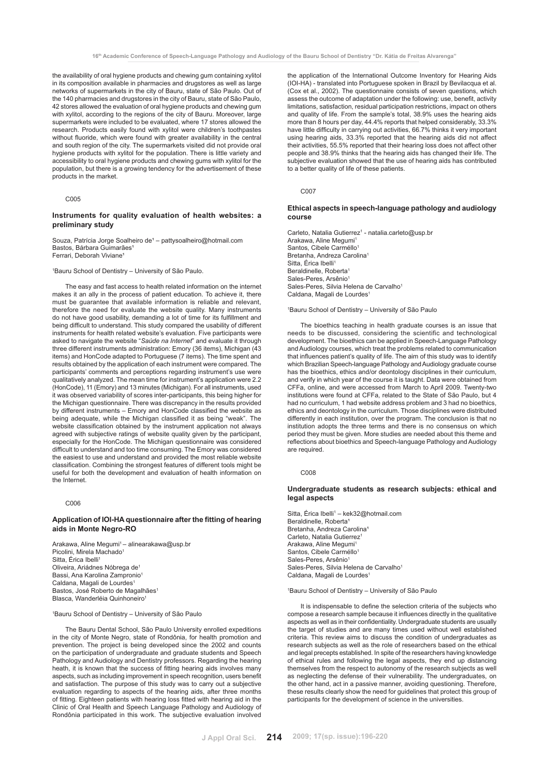the availability of oral hygiene products and chewing gum containing xylitol in its composition available in pharmacies and drugstores as well as large networks of supermarkets in the city of Bauru, state of São Paulo. Out of the 140 pharmacies and drugstores in the city of Bauru, state of São Paulo, 42 stores allowed the evaluation of oral hygiene products and chewing gum with xylitol, according to the regions of the city of Bauru. Moreover, large supermarkets were included to be evaluated, where 17 stores allowed the research. Products easily found with xylitol were children's toothpastes without fluoride, which were found with greater availability in the central and south region of the city. The supermarkets visited did not provide oral hygiene products with xylitol for the population. There is little variety and accessibility to oral hygiene products and chewing gums with xylitol for the population, but there is a growing tendency for the advertisement of these products in the market.

#### C<sub>005</sub>

# **Instruments for quality evaluation of health websites: a preliminary study**

Souza, Patrícia Jorge Soalheiro de<sup>1</sup> – pattysoalheiro@hotmail.com Bastos, Bárbara Guimarães<sup>1</sup> Ferrari, Deborah Viviane<sup>1</sup>

1 Bauru School of Dentistry – University of São Paulo.

The easy and fast access to health related information on the internet makes it an ally in the process of patient education. To achieve it, there must be guarantee that available information is reliable and relevant, therefore the need for evaluate the website quality. Many instruments do not have good usability, demanding a lot of time for its fulfillment and being difficult to understand. This study compared the usability of different instruments for health related website's evaluation. Five participants were asked to navigate the website "*Saúde na Internet*" and evaluate it through three different instruments administration: Emory (36 items), Michigan (43 items) and HonCode adapted to Portuguese (7 items). The time spent and results obtained by the application of each instrument were compared. The participants' comments and perceptions regarding instrument's use were qualitatively analyzed. The mean time for instrument's application were 2.2 (HonCode), 11 (Emory) and 13 minutes (Michigan). For all instruments, used it was observed variability of scores inter-participants, this being higher for the Michigan questionnaire. There was discrepancy in the results provided by different instruments – Emory and HonCode classified the website as being adequate, while the Michigan classified it as being "weak". The website classification obtained by the instrument application not always agreed with subjective ratings of website quality given by the participant, especially for the HonCode. The Michigan questionnaire was considered difficult to understand and too time consuming. The Emory was considered the easiest to use and understand and provided the most reliable website classification. Combining the strongest features of different tools might be useful for both the development and evaluation of health information on the Internet.

# C<sub>006</sub>

# **Application of IOI-HA questionnaire after the fitting of hearing aids in Monte Negro-RO**

Arakawa, Aline Megumi<sup>1</sup> – alinearakawa@usp.br Picolini, Mirela Machado1 Sitta, Érica Ibelli<sup>1</sup> Oliveira, Ariádnes Nóbrega de1 Bassi, Ana Karolina Zampronio<sup>1</sup> Caldana, Magali de Lourdes<sup>1</sup> Bastos, José Roberto de Magalhães<sup>1</sup> Blasca, Wanderléia Quinhoneiro

#### 1 Bauru School of Dentistry – University of São Paulo

The Bauru Dental School, São Paulo University enrolled expeditions in the city of Monte Negro, state of Rondônia, for health promotion and prevention. The project is being developed since the 2002 and counts on the participation of undergraduate and graduate students and Speech Pathology and Audiology and Dentistry professors. Regarding the hearing heath, it is known that the success of fitting hearing aids involves many aspects, such as including improvement in speech recognition, users benefit and satisfaction. The purpose of this study was to carry out a subjective evaluation regarding to aspects of the hearing aids, after three months of fitting. Eighteen patients with hearing loss fitted with hearing aid in the Clinic of Oral Health and Speech Language Pathology and Audiology of Rondônia participated in this work. The subjective evaluation involved

the application of the International Outcome Inventory for Hearing Aids (IOI-HA) - translated into Portuguese spoken in Brazil by Bevilacqua et al. (Cox et al., 2002). The questionnaire consists of seven questions, which assess the outcome of adaptation under the following: use, benefit, activity limitations, satisfaction, residual participation restrictions, impact on others and quality of life. From the sample's total, 38.9% uses the hearing aids more than 8 hours per day, 44.4% reports that helped considerably, 33.3% have little difficulty in carrying out activities, 66.7% thinks it very important using hearing aids, 33.3% reported that the hearing aids did not affect their activities, 55.5% reported that their hearing loss does not affect other people and 38.9% thinks that the hearing aids has changed their life. The subjective evaluation showed that the use of hearing aids has contributed to a better quality of life of these patients.

#### C007

# **Ethical aspects in speech-language pathology and audiology course**

Carleto, Natalia Gutierrez<sup>1</sup> - natalia.carleto@usp.br Arakawa, Aline Megumi1 Santos, Cibele Carméllo<sup>1</sup> Bretanha, Andreza Carolina1 Sitta, Érica Ibelli<sup>1</sup> Beraldinelle, Roberta<sup>1</sup> Sales-Peres, Arsênio<sup>1</sup> Sales-Peres, Silvia Helena de Carvalho<sup>1</sup> Caldana, Magali de Lourdes<sup>1</sup>

#### 1 Bauru School of Dentistry – University of São Paulo

The bioethics teaching in health graduate courses is an issue that needs to be discussed, considering the scientific and technological development. The bioethics can be applied in Speech-Language Pathology and Audiology courses, which treat the problems related to communication that influences patient's quality of life. The aim of this study was to identify which Brazilian Speech-language Pathology and Audiology graduate course has the bioethics, ethics and/or deontology disciplines in their curriculum, and verify in which year of the course it is taught. Data were obtained from CFFa, online, and were accessed from March to April 2009. Twenty-two institutions were found at CFFa, related to the State of São Paulo, but 4 had no curriculum, 1 had website address problem and 3 had no bioethics, ethics and deontology in the curriculum. Those disciplines were distributed differently in each institution, over the program. The conclusion is that no institution adopts the three terms and there is no consensus on which period they must be given. More studies are needed about this theme and reflections about bioethics and Speech-language Pathology and Audiology are required.

## Cong

# **Undergraduate students as research subjects: ethical and legal aspects**

Sitta, Érica Ibelli<sup>1</sup> – kek32@hotmail.com Beraldinelle, Roberta<sup>1</sup> Bretanha, Andreza Carolina<sup>1</sup> Carleto, Natalia Gutierrez<sup>1</sup> Arakawa, Aline Megumi1 Santos, Cibele Carméllo<sup>1</sup> Sales-Peres, Arsênio<sup>1</sup> Sales-Peres, Silvia Helena de Carvalho<sup>1</sup> Caldana, Magali de Lourdes<sup>1</sup>

#### 1 Bauru School of Dentistry – University of São Paulo

It is indispensable to define the selection criteria of the subjects who compose a research sample because it influences directly in the qualitative aspects as well as in their confidentiality. Undergraduate students are usually the target of studies and are many times used without well established criteria. This review aims to discuss the condition of undergraduates as research subjects as well as the role of researchers based on the ethical and legal precepts established. In spite of the researchers having knowledge of ethical rules and following the legal aspects, they end up distancing themselves from the respect to autonomy of the research subjects as well as neglecting the defense of their vulnerability. The undergraduates, on the other hand, act in a passive manner, avoiding questioning. Therefore, these results clearly show the need for guidelines that protect this group of participants for the development of science in the universities.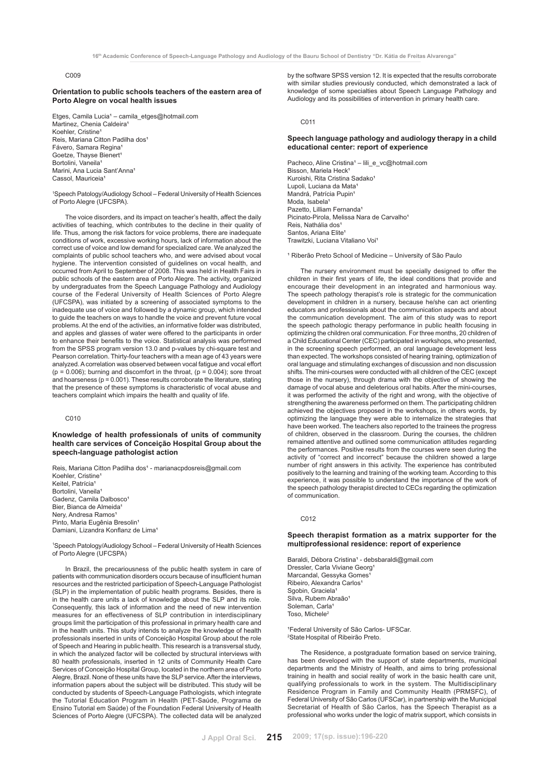# C009

#### **Orientation to public schools teachers of the eastern area of Porto Alegre on vocal health issues**

Etges, Camila Lucia<sup>1</sup> – camila\_etges@hotmail.com Martinez, Chenia Caldeira<sup>1</sup> Koehler, Cristine<sup>®</sup> Reis, Mariana Citton Padilha dos<sup>1</sup> Fávero, Samara Regina<sup>1</sup> Goetze, Thayse Bienert<sup>1</sup> Bortolini, Vaneila<sup>1</sup> Marini, Ana Lucia Sant'Anna<sup>1</sup> Cassol, Mauriceia<sup>1</sup>

1 Speech Patology/Audiology School – Federal University of Health Sciences of Porto Alegre (UFCSPA).

The voice disorders, and its impact on teacher's health, affect the daily activities of teaching, which contributes to the decline in their quality of life. Thus, among the risk factors for voice problems, there are inadequate conditions of work, excessive working hours, lack of information about the correct use of voice and low demand for specialized care. We analyzed the complaints of public school teachers who, and were advised about vocal hygiene. The intervention consisted of guidelines on vocal health, and occurred from April to September of 2008. This was held in Health Fairs in public schools of the eastern area of Porto Alegre. The activity, organized by undergraduates from the Speech Language Pathology and Audiology course of the Federal University of Health Sciences of Porto Alegre (UFCSPA), was initiated by a screening of associated symptoms to the inadequate use of voice and followed by a dynamic group, which intended to guide the teachers on ways to handle the voice and prevent future vocal problems. At the end of the activities, an informative folder was distributed, and apples and glasses of water were offered to the participants in order to enhance their benefits to the voice. Statistical analysis was performed from the SPSS program version 13.0 and p-values by chi-square test and Pearson correlation. Thirty-four teachers with a mean age of 43 years were analyzed. A correlation was observed between vocal fatigue and vocal effort ( $p = 0.006$ ); burning and discomfort in the throat, ( $p = 0.004$ ); sore throat and hoarseness ( $p = 0.001$ ). These results corroborate the literature, stating that the presence of these symptoms is characteristic of vocal abuse and teachers complaint which impairs the health and quality of life.

# C010

**Knowledge of health professionals of units of community health care services of Conceição Hospital Group about the speech-language pathologist action**

Reis, Mariana Citton Padilha dos<sup>1</sup> - marianacpdosreis@gmail.com Koehler, Cristine<sup>®</sup> Keitel, Patrícia<sup>1</sup> Bortolini, Vaneila<sup>1</sup> Gadenz, Camila Dalbosco<sup>1</sup> Bier, Bianca de Almeida<sup>1</sup> Nery, Andresa Ramos<sup>1</sup> Pinto, Maria Eugênia Bresolin<sup>1</sup> Damiani, Lizandra Konflanz de Lima<sup>1</sup>

1 Speech Patology/Audiology School – Federal University of Health Sciences of Porto Alegre (UFCSPA)

In Brazil, the precariousness of the public health system in care of patients with communication disorders occurs because of insufficient human resources and the restricted participation of Speech-Language Pathologist (SLP) in the implementation of public health programs. Besides, there is in the health care units a lack of knowledge about the SLP and its role. Consequently, this lack of information and the need of new intervention measures for an effectiveness of SLP contribution in interdisciplinary groups limit the participation of this professional in primary health care and in the health units. This study intends to analyze the knowledge of health professionals inserted in units of Conceição Hospital Group about the role of Speech and Hearing in public health. This research is a transversal study, in which the analyzed factor will be collected by structural interviews with 80 health professionals, inserted in 12 units of Community Health Care Services of Conceição Hospital Group, located in the northern area of Porto Alegre, Brazil. None of these units have the SLP service. After the interviews, information papers about the subject will be distributed. This study will be conducted by students of Speech-Language Pathologists, which integrate the Tutorial Education Program in Health (PET-Saúde, Programa de Ensino Tutorial em Saúde) of the Foundation Federal University of Health Sciences of Porto Alegre (UFCSPA). The collected data will be analyzed

by the software SPSS version 12. It is expected that the results corroborate with similar studies previously conducted, which demonstrated a lack of knowledge of some specialties about Speech Language Pathology and Audiology and its possibilities of intervention in primary health care.

 $C<sub>011</sub>$ 

# **Speech language pathology and audiology therapy in a child educational center: report of experience**

Pacheco, Aline Cristina<sup>1</sup> – lili\_e\_vc@hotmail.com Bisson, Mariela Heck Kuroishi, Rita Cristina Sadako<sup>1</sup> Lupoli, Luciana da Mata Mandrá, Patrícia Pupin<sup>1</sup> Moda, Isabela<sup>1</sup> Pazetto, Lilliam Fernanda<sup>1</sup> Picinato-Pirola, Melissa Nara de Carvalho<sup>1</sup> Reis, Nathália dos<sup>1</sup> Santos, Ariana Elite<sup>1</sup> Trawitzki, Luciana Vitaliano Voi<sup>1</sup>

<sup>1</sup> Riberão Preto School of Medicine - University of São Paulo

The nursery environment must be specially designed to offer the children in their first years of life, the ideal conditions that provide and encourage their development in an integrated and harmonious way. The speech pathology therapist's role is strategic for the communication development in children in a nursery, because he/she can act orienting educators and professionals about the communication aspects and about the communication development. The aim of this study was to report the speech pathologic therapy performance in public health focusing in optimizing the children oral communication. For three months, 20 children of a Child Educational Center (CEC) participated in workshops, who presented, in the screening speech performed, an oral language development less than expected. The workshops consisted of hearing training, optimization of oral language and stimulating exchanges of discussion and non discussion shifts. The mini-courses were conducted with all children of the CEC (except those in the nursery), through drama with the objective of showing the damage of vocal abuse and deleterious oral habits. After the mini-courses, it was performed the activity of the right and wrong, with the objective of strengthening the awareness performed on them. The participating children achieved the objectives proposed in the workshops, in others words, by optimizing the language they were able to internalize the strategies that have been worked. The teachers also reported to the trainees the progress of children, observed in the classroom. During the courses, the children remained attentive and outlined some communication attitudes regarding the performances. Positive results from the courses were seen during the activity of "correct and incorrect" because the children showed a large number of right answers in this activity. The experience has contributed positively to the learning and training of the working team. According to this experience, it was possible to understand the importance of the work of the speech pathology therapist directed to CECs regarding the optimization of communication.

#### C<sub>012</sub>

# **Speech therapist formation as a matrix supporter for the multiprofessional residence: report of experience**

Baraldi, Débora Cristina<sup>1</sup> - debsbaraldi@gmail.com Dressler, Carla Viviane Georg<sup>1</sup> Marcandal, Gessyka Gomes Ribeiro, Alexandra Carlos<sup>1</sup> Sgobin, Graciela<sup>1</sup> Silva, Rubem Abraão<sup>1</sup> Soleman, Carla<sup>1</sup> Toso, Michele2

<sup>1</sup>Federal University of São Carlos- UFSCar. 2 State Hospital of Ribeirão Preto.

The Residence, a postgraduate formation based on service training, has been developed with the support of state departments, municipal departments and the Ministry of Health, and aims to bring professional training in health and social reality of work in the basic health care unit, qualifying professionals to work in the system. The Multidisciplinary Residence Program in Family and Community Health (PRMSFC), of Federal University of São Carlos (UFSCar), in partnership with the Municipal Secretariat of Health of São Carlos, has the Speech Therapist as a professional who works under the logic of matrix support, which consists in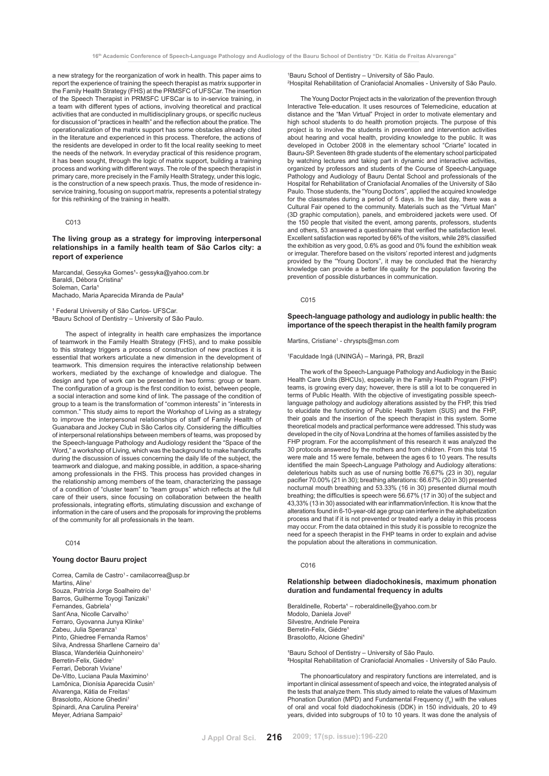a new strategy for the reorganization of work in health. This paper aims to report the experience of training the speech therapist as matrix supporter in the Family Health Strategy (FHS) at the PRMSFC of UFSCar. The insertion of the Speech Therapist in PRMSFC UFSCar is to in-service training, in a team with different types of actions, involving theoretical and practical activities that are conducted in multidisciplinary groups, or specific nucleus for discussion of "practices in health" and the reflection about the pratice. The operationalization of the matrix support has some obstacles already cited in the literature and experienced in this process. Therefore, the actions of the residents are developed in order to fit the local reality seeking to meet the needs of the network. In everyday practical of this residence program, it has been sought, through the logic of matrix support, building a training process and working with different ways. The role of the speech therapist in primary care, more precisely in the Family Health Strategy, under this logic, is the construction of a new speech praxis. Thus, the mode of residence inservice training, focusing on support matrix, represents a potential strategy for this rethinking of the training in health.

## C013

# **The living group as a strategy for improving interpersonal relationships in a family health team of São Carlos city: a report of experience**

Marcandal, Gessyka Gomes<sup>1</sup>- gessyka@yahoo.com.br Baraldi, Débora Cristina<sup>1</sup> Soleman, Carla Machado, Maria Aparecida Miranda de Paula²

<sup>1</sup> Federal University of São Carlos- UFSCar. **2** Bauru School of Dentistry – University of São Paulo.

The aspect of integrality in health care emphasizes the importance of teamwork in the Family Health Strategy (FHS), and to make possible to this strategy triggers a process of construction of new practices it is essential that workers articulate a new dimension in the development of teamwork. This dimension requires the interactive relationship between workers, mediated by the exchange of knowledge and dialogue. The design and type of work can be presented in two forms: group or team. The configuration of a group is the first condition to exist, between people, a social interaction and some kind of link. The passage of the condition of group to a team is the transformation of "common interests" in "interests in common." This study aims to report the Workshop of Living as a strategy to improve the interpersonal relationships of staff of Family Health of Guanabara and Jockey Club in São Carlos city. Considering the difficulties of interpersonal relationships between members of teams, was proposed by the Speech-language Pathology and Audiology resident the "Space of the Word," a workshop of Living, which was the background to make handicrafts during the discussion of issues concerning the daily life of the subject, the teamwork and dialogue, and making possible, in addition, a space-sharing among professionals in the FHS. This process has provided changes in the relationship among members of the team, characterizing the passage of a condition of "cluster team" to "team groups" which reflects at the full care of their users, since focusing on collaboration between the health professionals, integrating efforts, stimulating discussion and exchange of information in the care of users and the proposals for improving the problems of the community for all professionals in the team.

## C014

# **Young doctor Bauru project**

Correa, Camila de Castro<sup>1</sup> - camilacorrea@usp.br Martine, Aline1 Souza, Patrícia Jorge Soalheiro de1 Barros, Guilherme Toyogi Tanizaki<sup>1</sup> Fernandes, Gabriela<sup>1</sup> Sant'Ana, Nicolle Carvalho<sup>1</sup> Ferraro, Gyovanna Junya Klinke1 Zabeu, Julia Speranza1 Pinto, Ghiedree Fernanda Ramos<sup>1</sup> Silva, Andressa Sharllene Carneiro da1 Blasca, Wanderléia Quinhoneiro<sup>1</sup> Berretin-Felix, Giédre1 Ferrari, Deborah Viviane1 De-Vitto, Luciana Paula Maximino<sup>1</sup> Lamônica, Dionísia Aparecida Cusin<sup>1</sup> Alvarenga, Kátia de Freitas1 Brasolotto, Alcione Ghedini Spinardi, Ana Carulina Pereira<sup>1</sup> Meyer, Adriana Sampaio<sup>2</sup>

1 Bauru School of Dentistry – University of São Paulo.

2 Hospital Rehabilitation of Craniofacial Anomalies - University of São Paulo.

The Young Doctor Project acts in the valorization of the prevention through Interactive Tele-education. It uses resources of Telemedicine, education at distance and the "Man Virtual" Project in order to motivate elementary and high school students to do health promotion projects. The purpose of this project is to involve the students in prevention and intervention activities about hearing and vocal health, providing knowledge to the public. It was developed in October 2008 in the elementary school "Criarte" located in Bauru-SP. Seventeen 8th grade students of the elementary school participated by watching lectures and taking part in dynamic and interactive activities, organized by professors and students of the Course of Speech-Language Pathology and Audiology of Bauru Dental School and professionals of the Hospital for Rehabilitation of Craniofacial Anomalies of the University of São Paulo. Those students, the "Young Doctors", applied the acquired knowledge for the classmates during a period of 5 days. In the last day, there was a Cultural Fair opened to the community. Materials such as the "Virtual Man" (3D graphic computation), panels, and embroidered jackets were used. Of the 150 people that visited the event, among parents, professors, students and others, 53 answered a questionnaire that verified the satisfaction level. Excellent satisfaction was reported by 66% of the visitors, while 28% classified the exhibition as very good, 0.6% as good and 0% found the exhibition weak or irregular. Therefore based on the visitors' reported interest and judgments provided by the "Young Doctors", it may be concluded that the hierarchy knowledge can provide a better life quality for the population favoring the prevention of possible disturbances in communication.

# C015

# **Speech-language pathology and audiology in public health: the importance of the speech therapist in the health family program**

Martins, Cristiane<sup>1</sup> - chryspts@msn.com

1 Faculdade Ingá (UNINGÁ) – Maringá, PR, Brazil

The work of the Speech-Language Pathology and Audiology in the Basic Health Care Units (BHCUs), especially in the Family Health Program (FHP) teams, is growing every day; however, there is still a lot to be conquered in terms of Public Health. With the objective of investigating possible speechlanguage pathology and audiology alterations assisted by the FHP, this tried to elucidate the functioning of Public Health System (SUS) and the FHP, their goals and the insertion of the speech therapist in this system. Some theoretical models and practical performance were addressed. This study was developed in the city of Nova Londrina at the homes of families assisted by the FHP program. For the accomplishment of this research it was analyzed the 30 protocols answered by the mothers and from children. From this total 15 were male and 15 were female, between the ages 6 to 10 years. The results identified the main Speech-Language Pathology and Audiology alterations: deleterious habits such as use of nursing bottle 76,67% (23 in 30), regular pacifier 70.00% (21 in 30); breathing alterations: 66.67% (20 in 30) presented nocturnal mouth breathing and 53.33% (16 in 30) presented diurnal mouth breathing; the difficulties is speech were 56.67% (17 in 30) of the subject and 43,33% (13 in 30) associated with ear inflammation/infection. It is know that the alterations found in 6-10-year-old age group can interfere in the alphabetization process and that if it is not prevented or treated early a delay in this process may occur. From the data obtained in this study it is possible to recognize the need for a speech therapist in the FHP teams in order to explain and advise the population about the alterations in communication.

#### C016

# **Relationship between diadochokinesis, maximum phonation duration and fundamental frequency in adults**

Beraldinelle, Roberta<sup>1</sup> – roberaldinelle@yahoo.com.br Modolo, Daniela Joveli Silvestre, Andriele Pereira Berretin-Felix, Giédre<sup>1</sup> Brasolotto, Alcione Ghedini<sup>1</sup>

1Bauru School of Dentistry – University of São Paulo.<br><sup>2</sup>Hospital Rehabilitation of Craniofacial Anomalies - University of São Paulo.

The phonoarticulatory and respiratory functions are interrelated, and is important in clinical assessment of speech and voice, the integrated analysis of the tests that analyze them. This study aimed to relate the values of Maximum Phonation Duration (MPD) and Fundamental Frequency  $(f_0)$  with the values of oral and vocal fold diadochokinesis (DDK) in 150 individuals, 20 to 49 years, divided into subgroups of 10 to 10 years. It was done the analysis of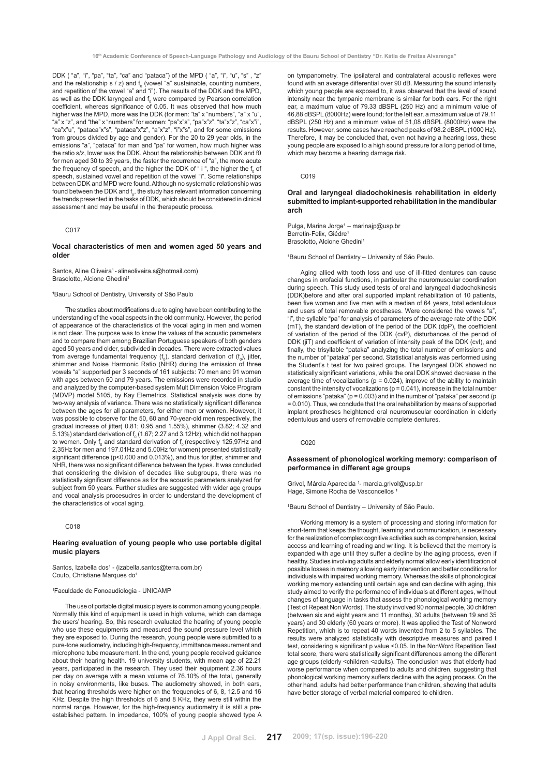DDK ("a", "i", "pa", "ta", "ca" and "pataca") of the MPD ("a", "i", "u", "s", "z" and the relationship s / z) and  $f_0$  (vowel "a" sustainable, counting numbers, and repetition of the vowel "a" and "i"). The results of the DDK and the MPD, as well as the DDK laryngeal and  $f_0$  were compared by Pearson correlation coefficient, whereas significance of 0.05. It was observed that how much higher was the MPD, more was the DDK (for men: "ta" x "numbers", "a" x "u", "a" x "z", and "the" x "numbers" for women: "pa"x"s", "pa"x"z", "ta"x"z", "ca"x"i", "ca"x"u", "pataca"x"s", "pataca"x"z", "a"x"z", "i"x"s", and for some emissions from groups divided by age and gender). For the 20 to 29 year olds, in the emissions "a", "pataca" for man and "pa" for women, how much higher was the ratio s/z, lower was the DDK. About the relationship between DDK and f0 for men aged 30 to 39 years, the faster the recurrence of "a", the more acute the frequency of speech, and the higher the DDK of " i ", the higher the  $\mathfrak{f}_{{}_{0}}$  of speech, sustained vowel and repetition of the vowel "i". Some relationships between DDK and MPD were found. Although no systematic relationship was found between the DDK and  $\mathsf{f}_{_0},$  the study has relevant information concerning the trends presented in the tasks of DDK, which should be considered in clinical assessment and may be useful in the therapeutic process.

#### C017

# **Vocal characteristics of men and women aged 50 years and older**

Santos, Aline Oliveira<sup>1</sup> - alineoliveira.s@hotmail.com) Brasolotto, Alcione Ghedini<sup>1</sup>

#### **1** Bauru School of Dentistry, University of São Paulo

The studies about modifications due to aging have been contributing to the understanding of the vocal aspects in the old community. However, the period of appearance of the characteristics of the vocal aging in men and women is not clear. The purpose was to know the values of the acoustic parameters and to compare them among Brazilian Portuguese speakers of both genders aged 50 years and older, subdivided in decades. There were extracted values from average fundamental frequency  $(f_0)$ , standard derivation of  $(f_0)$ , jitter, shimmer and Noise Harmonic Ratio (NHR) during the emission of three vowels "a" supported per 3 seconds of 161 subjects: 70 men and 91 women with ages between 50 and 79 years. The emissions were recorded in studio and analyzed by the computer-based system Mult Dimension Voice Program (MDVP) model 5105, by Kay Elemetrics. Statistical analysis was done by two-way analysis of variance. There was no statistically significant difference between the ages for all parameters, for either men or women. However, it was possible to observe for the 50, 60 and 70-year-old men respectively, the gradual increase of jitter( 0.81; 0.95 and 1.55%), shimmer (3.82; 4.32 and 5.13%) standard derivation of  $f_{\rm o}$  (1.67; 2.27 and 3.12Hz), which did not happen to women. Only  $\rm f_{\rm o}$  and standard derivation of  $\rm f_{\rm o}$  (respectively 125,97Hz and 2,35Hz for men and 197.01Hz and 5.00Hz for women) presented statistically significant difference (p<0.000 and 0.013%), and thus for jitter, shimmer and NHR, there was no significant difference between the types. It was concluded that considering the division of decades like subgroups, there was no statistically significant difference as for the acoustic parameters analyzed for subject from 50 years. Further studies are suggested with wider age groups and vocal analysis procesudres in order to understand the development of the characteristics of vocal aging.

#### C018

# **Hearing evaluation of young people who use portable digital music players**

Santos, Izabella dos<sup>1</sup> - (izabella.santos@terra.com.br) Couto, Christiane Marques do<sup>1</sup>

#### 1 Faculdade de Fonoaudiologia - UNICAMP

The use of portable digital music players is common among young people. Normally this kind of equipment is used in high volume, which can damage the users' hearing. So, this research evaluated the hearing of young people who use these equipments and measured the sound pressure level which they are exposed to. During the research, young people were submitted to a pure-tone audiometry, including high-frequency, immittance measurement and microphone tube measurement. In the end, young people received guidance about their hearing health. 19 university students, with mean age of 22.21 years, participated in the research. They used their equipment 2.36 hours per day on average with a mean volume of 76.10% of the total, generally in noisy environments, like buses. The audiometry showed, in both ears, that hearing thresholds were higher on the frequencies of 6, 8, 12.5 and 16 KHz. Despite the high thresholds of 6 and 8 KHz, they were still within the normal range. However, for the high-frequency audiometry it is still a preestablished pattern. In impedance, 100% of young people showed type A on tympanometry. The ipsilateral and contralateral acoustic reflexes were found with an average differential over 90 dB. Measuring the sound intensity which young people are exposed to, it was observed that the level of sound intensity near the tympanic membrane is similar for both ears. For the right ear, a maximum value of 79.33 dBSPL (250 Hz) and a minimum value of 46,88 dBSPL (8000Hz) were found; for the left ear, a maximum value of 79.11 dBSPL (250 Hz) and a minimum value of 51,08 dBSPL (8000Hz) were the results. However, some cases have reached peaks of 98.2 dBSPL (1000 Hz). Therefore, it may be concluded that, even not having a hearing loss, these young people are exposed to a high sound pressure for a long period of time, which may become a hearing damage risk.

# C019

# **Oral and laryngeal diadochokinesis rehabilitation in elderly submitted to implant-supported rehabilitation in the mandibular arch**

Pulga, Marina Jorge<sup>1</sup> – marinajp@usp.br Berretin-Felix, Giédre<sup>®</sup> Brasolotto, Alcione Ghedinii

<sup>1</sup>Bauru School of Dentistry – University of São Paulo.

Aging allied with tooth loss and use of ill-fitted dentures can cause changes in orofacial functions, in particular the neuromuscular coordination during speech. This study used tests of oral and laryngeal diadochokinesis (DDK)before and after oral supported implant rehabilitation of 10 patients, been five women and five men with a median of 64 years, total edentulous and users of total removable prostheses. Were considered the vowels "a" "i", the syllable "pa" for analysis of parameters of the average rate of the DDK  $(mT)$ , the standard deviation of the period of the DDK (dpP), the coefficient of variation of the period of the DDK (cvP), disturbances of the period of DDK (iiT) and coefficient of variation of intensity peak of the DDK (cvI), and finally, the trisyllable "pataka" analyzing the total number of emissions and the number of "pataka" per second. Statistical analysis was performed using the Student's t test for two paired groups. The laryngeal DDK showed no statistically significant variations, while the oral DDK showed decrease in the average time of vocalizations ( $p = 0.024$ ), improve of the ability to maintain constant the intensity of vocalizations ( $p = 0.041$ ), increase in the total number of emissions "pataka" ( $p = 0.003$ ) and in the number of "pataka" per second (p = 0.010). Thus, we conclude that the oral rehabilitation by means of supported implant prostheses heightened oral neuromuscular coordination in elderly edentulous and users of removable complete dentures.

# C020

# **Assessment of phonological working memory: comparison of performance in different age groups**

Grivol, Márcia Aparecida <sup>1</sup>- marcia.grivol@usp.br Hage, Simone Rocha de Vasconcellos **<sup>1</sup>**

**1** Bauru School of Dentistry – University of São Paulo.

Working memory is a system of processing and storing information for short-term that keeps the thought, learning and communication, is necessary for the realization of complex cognitive activities such as comprehension, lexical access and learning of reading and writing. It is believed that the memory is expanded with age until they suffer a decline by the aging process, even if healthy. Studies involving adults and elderly normal allow early identification of possible losses in memory allowing early intervention and better conditions for individuals with impaired working memory. Whereas the skills of phonological working memory extending until certain age and can decline with aging, this study aimed to verify the performance of individuals at different ages, without changes of language in tasks that assess the phonological working memory (Test of Repeat Non Words). The study involved 90 normal people, 30 children (between six and eight years and 11 months), 30 adults (between 19 and 35 years) and 30 elderly (60 years or more). It was applied the Test of Nonword Repetition, which is to repeat 40 words invented from 2 to 5 syllables. The results were analyzed statistically with descriptive measures and paired t test, considering a significant p value <0.05. In the NonWord Repetition Test total score, there were statistically significant differences among the different age groups (elderly <children <adults). The conclusion was that elderly had worse performance when compared to adults and children, suggesting that phonological working memory suffers decline with the aging process. On the other hand, adults had better performance than children, showing that adults have better storage of verbal material compared to children.